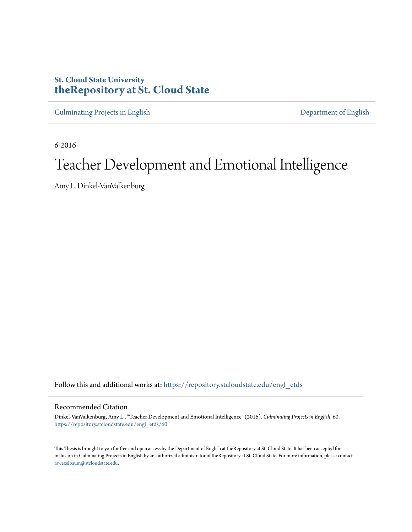# **St. Cloud State University [theRepository at St. Cloud State](https://repository.stcloudstate.edu?utm_source=repository.stcloudstate.edu%2Fengl_etds%2F60&utm_medium=PDF&utm_campaign=PDFCoverPages)**

[Culminating Projects in English](https://repository.stcloudstate.edu/engl_etds?utm_source=repository.stcloudstate.edu%2Fengl_etds%2F60&utm_medium=PDF&utm_campaign=PDFCoverPages) [Department of English](https://repository.stcloudstate.edu/engl?utm_source=repository.stcloudstate.edu%2Fengl_etds%2F60&utm_medium=PDF&utm_campaign=PDFCoverPages)

6-2016

# Teacher Development and Emotional Intelligence

Amy L. Dinkel-VanValkenburg

Follow this and additional works at: [https://repository.stcloudstate.edu/engl\\_etds](https://repository.stcloudstate.edu/engl_etds?utm_source=repository.stcloudstate.edu%2Fengl_etds%2F60&utm_medium=PDF&utm_campaign=PDFCoverPages)

#### Recommended Citation

Dinkel-VanValkenburg, Amy L., "Teacher Development and Emotional Intelligence" (2016). *Culminating Projects in English*. 60. [https://repository.stcloudstate.edu/engl\\_etds/60](https://repository.stcloudstate.edu/engl_etds/60?utm_source=repository.stcloudstate.edu%2Fengl_etds%2F60&utm_medium=PDF&utm_campaign=PDFCoverPages)

This Thesis is brought to you for free and open access by the Department of English at theRepository at St. Cloud State. It has been accepted for inclusion in Culminating Projects in English by an authorized administrator of theRepository at St. Cloud State. For more information, please contact [rswexelbaum@stcloudstate.edu](mailto:rswexelbaum@stcloudstate.edu).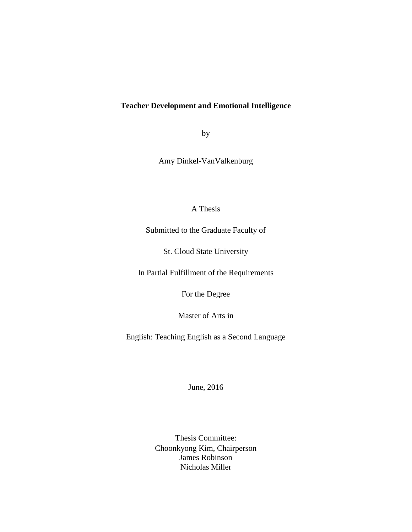# **Teacher Development and Emotional Intelligence**

by

Amy Dinkel-VanValkenburg

# A Thesis

Submitted to the Graduate Faculty of

St. Cloud State University

In Partial Fulfillment of the Requirements

For the Degree

Master of Arts in

English: Teaching English as a Second Language

June, 2016

Thesis Committee: Choonkyong Kim, Chairperson James Robinson Nicholas Miller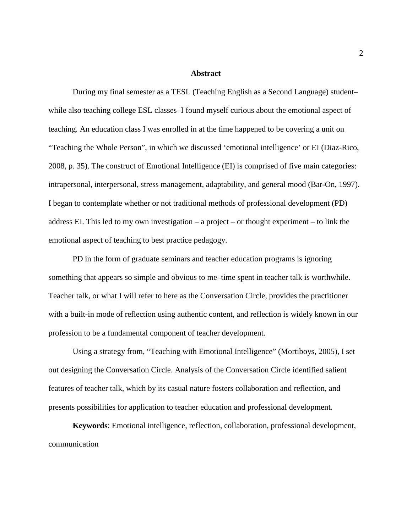#### **Abstract**

During my final semester as a TESL (Teaching English as a Second Language) student– while also teaching college ESL classes–I found myself curious about the emotional aspect of teaching. An education class I was enrolled in at the time happened to be covering a unit on "Teaching the Whole Person", in which we discussed 'emotional intelligence' or EI (Diaz-Rico, 2008, p. 35). The construct of Emotional Intelligence (EI) is comprised of five main categories: intrapersonal, interpersonal, stress management, adaptability, and general mood (Bar-On, 1997). I began to contemplate whether or not traditional methods of professional development (PD) address EI. This led to my own investigation – a project – or thought experiment – to link the emotional aspect of teaching to best practice pedagogy.

PD in the form of graduate seminars and teacher education programs is ignoring something that appears so simple and obvious to me–time spent in teacher talk is worthwhile. Teacher talk, or what I will refer to here as the Conversation Circle, provides the practitioner with a built-in mode of reflection using authentic content, and reflection is widely known in our profession to be a fundamental component of teacher development.

Using a strategy from, "Teaching with Emotional Intelligence" (Mortiboys, 2005), I set out designing the Conversation Circle. Analysis of the Conversation Circle identified salient features of teacher talk, which by its casual nature fosters collaboration and reflection, and presents possibilities for application to teacher education and professional development.

**Keywords**: Emotional intelligence, reflection, collaboration, professional development, communication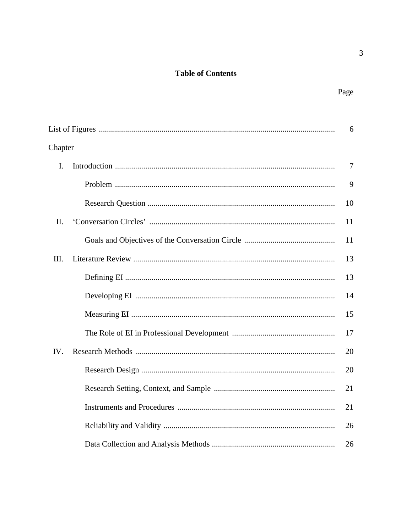# **Table of Contents**

 $\overline{3}$ 

|                | 6              |
|----------------|----------------|
| Chapter        |                |
| $\mathbf{I}$ . | $\overline{7}$ |
|                | 9              |
|                | 10             |
| II.            | 11             |
|                | 11             |
| Ш.             | 13             |
|                | 13             |
|                | 14             |
|                | 15             |
|                | 17             |
| IV.            | 20             |
|                | 20             |
|                | 21             |
|                | 21             |
|                | 26             |
|                | 26             |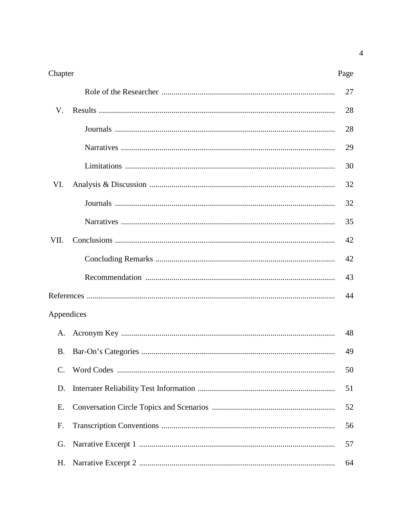| Chapter    | Page |
|------------|------|
|            | 27   |
| V.         | 28   |
|            | 28   |
|            | 29   |
|            | 30   |
| VI.        | 32   |
|            | 32   |
|            | 35   |
| VII.       | 42   |
|            | 42   |
|            | 43   |
|            | 44   |
| Appendices |      |
| A.         | 48   |
| <b>B.</b>  | 49   |
|            | 50   |
| D.         | 51   |
| Ε.         | 52   |
| F.         | 56   |
| G.         | 57   |
| Η.         | 64   |
|            |      |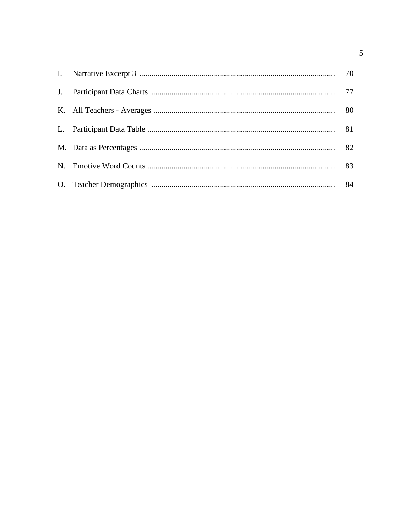$\overline{5}$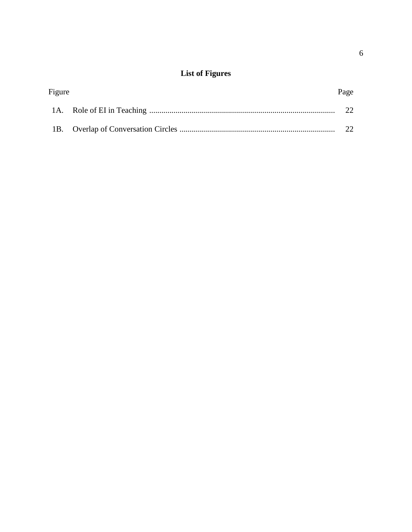# **List of Figures**

| Figure | Page |
|--------|------|
|        | 22.  |
|        | 22   |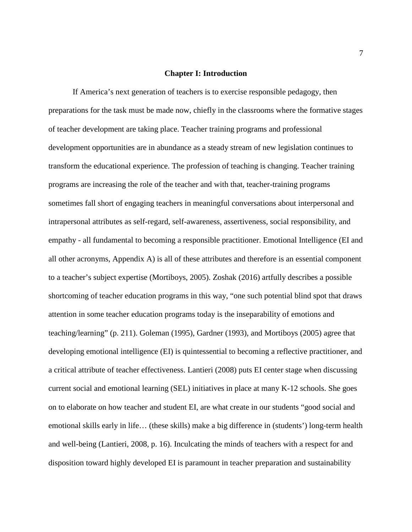#### **Chapter I: Introduction**

If America's next generation of teachers is to exercise responsible pedagogy, then preparations for the task must be made now, chiefly in the classrooms where the formative stages of teacher development are taking place. Teacher training programs and professional development opportunities are in abundance as a steady stream of new legislation continues to transform the educational experience. The profession of teaching is changing. Teacher training programs are increasing the role of the teacher and with that, teacher-training programs sometimes fall short of engaging teachers in meaningful conversations about interpersonal and intrapersonal attributes as self-regard, self-awareness, assertiveness, social responsibility, and empathy - all fundamental to becoming a responsible practitioner. Emotional Intelligence (EI and all other acronyms, Appendix A) is all of these attributes and therefore is an essential component to a teacher's subject expertise (Mortiboys, 2005). Zoshak (2016) artfully describes a possible shortcoming of teacher education programs in this way, "one such potential blind spot that draws attention in some teacher education programs today is the inseparability of emotions and teaching/learning" (p. 211). Goleman (1995), Gardner (1993), and Mortiboys (2005) agree that developing emotional intelligence (EI) is quintessential to becoming a reflective practitioner, and a critical attribute of teacher effectiveness. Lantieri (2008) puts EI center stage when discussing current social and emotional learning (SEL) initiatives in place at many K-12 schools. She goes on to elaborate on how teacher and student EI, are what create in our students "good social and emotional skills early in life… (these skills) make a big difference in (students') long-term health and well-being (Lantieri, 2008, p. 16). Inculcating the minds of teachers with a respect for and disposition toward highly developed EI is paramount in teacher preparation and sustainability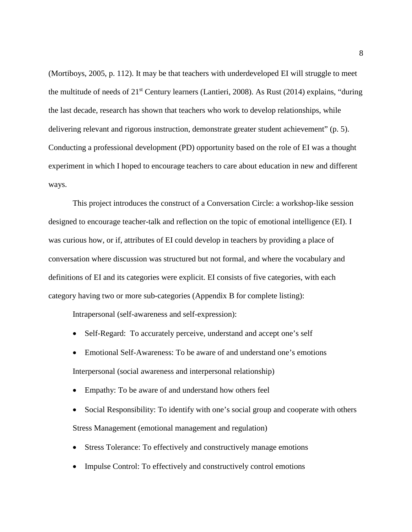(Mortiboys, 2005, p. 112). It may be that teachers with underdeveloped EI will struggle to meet the multitude of needs of 21st Century learners (Lantieri, 2008). As Rust (2014) explains, "during the last decade, research has shown that teachers who work to develop relationships, while delivering relevant and rigorous instruction, demonstrate greater student achievement" (p. 5). Conducting a professional development (PD) opportunity based on the role of EI was a thought experiment in which I hoped to encourage teachers to care about education in new and different ways.

This project introduces the construct of a Conversation Circle: a workshop-like session designed to encourage teacher-talk and reflection on the topic of emotional intelligence (EI). I was curious how, or if, attributes of EI could develop in teachers by providing a place of conversation where discussion was structured but not formal, and where the vocabulary and definitions of EI and its categories were explicit. EI consists of five categories, with each category having two or more sub-categories (Appendix B for complete listing):

Intrapersonal (self-awareness and self-expression):

- Self-Regard: To accurately perceive, understand and accept one's self
- Emotional Self-Awareness: To be aware of and understand one's emotions Interpersonal (social awareness and interpersonal relationship)
- Empathy: To be aware of and understand how others feel
- Social Responsibility: To identify with one's social group and cooperate with others Stress Management (emotional management and regulation)
- Stress Tolerance: To effectively and constructively manage emotions
- Impulse Control: To effectively and constructively control emotions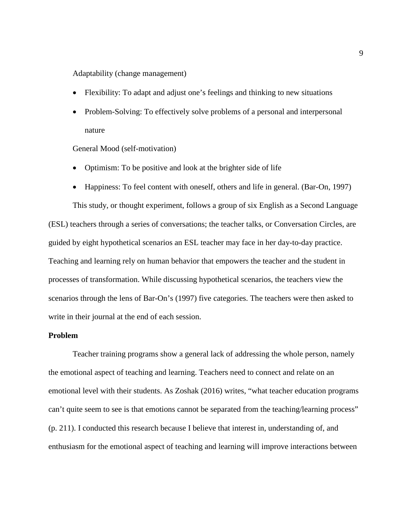Adaptability (change management)

- Flexibility: To adapt and adjust one's feelings and thinking to new situations
- Problem-Solving: To effectively solve problems of a personal and interpersonal nature

General Mood (self-motivation)

- Optimism: To be positive and look at the brighter side of life
- Happiness: To feel content with oneself, others and life in general. (Bar-On, 1997)

This study, or thought experiment, follows a group of six English as a Second Language (ESL) teachers through a series of conversations; the teacher talks, or Conversation Circles, are guided by eight hypothetical scenarios an ESL teacher may face in her day-to-day practice. Teaching and learning rely on human behavior that empowers the teacher and the student in processes of transformation. While discussing hypothetical scenarios, the teachers view the scenarios through the lens of Bar-On's (1997) five categories. The teachers were then asked to write in their journal at the end of each session.

#### **Problem**

Teacher training programs show a general lack of addressing the whole person, namely the emotional aspect of teaching and learning. Teachers need to connect and relate on an emotional level with their students. As Zoshak (2016) writes, "what teacher education programs can't quite seem to see is that emotions cannot be separated from the teaching/learning process" (p. 211). I conducted this research because I believe that interest in, understanding of, and enthusiasm for the emotional aspect of teaching and learning will improve interactions between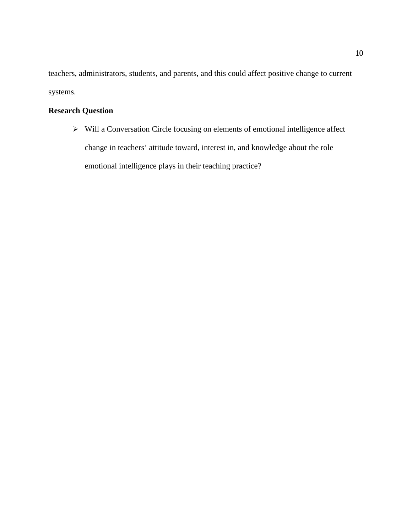teachers, administrators, students, and parents, and this could affect positive change to current systems.

# **Research Question**

 $\triangleright$  Will a Conversation Circle focusing on elements of emotional intelligence affect change in teachers' attitude toward, interest in, and knowledge about the role emotional intelligence plays in their teaching practice?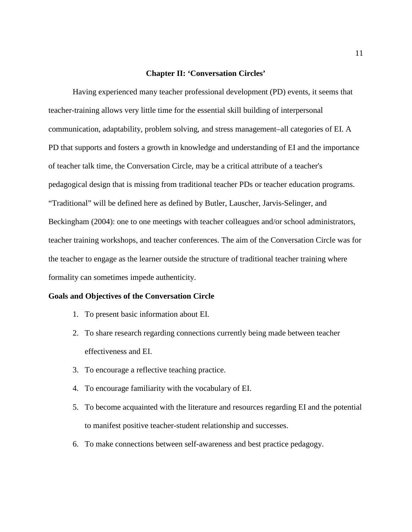#### **Chapter II: 'Conversation Circles'**

Having experienced many teacher professional development (PD) events, it seems that teacher-training allows very little time for the essential skill building of interpersonal communication, adaptability, problem solving, and stress management–all categories of EI. A PD that supports and fosters a growth in knowledge and understanding of EI and the importance of teacher talk time, the Conversation Circle, may be a critical attribute of a teacher's pedagogical design that is missing from traditional teacher PDs or teacher education programs. "Traditional" will be defined here as defined by Butler, Lauscher, Jarvis-Selinger, and Beckingham (2004): one to one meetings with teacher colleagues and/or school administrators, teacher training workshops, and teacher conferences. The aim of the Conversation Circle was for the teacher to engage as the learner outside the structure of traditional teacher training where formality can sometimes impede authenticity.

## **Goals and Objectives of the Conversation Circle**

- 1. To present basic information about EI.
- 2. To share research regarding connections currently being made between teacher effectiveness and EI.
- 3. To encourage a reflective teaching practice.
- 4. To encourage familiarity with the vocabulary of EI.
- 5. To become acquainted with the literature and resources regarding EI and the potential to manifest positive teacher-student relationship and successes.
- 6. To make connections between self-awareness and best practice pedagogy.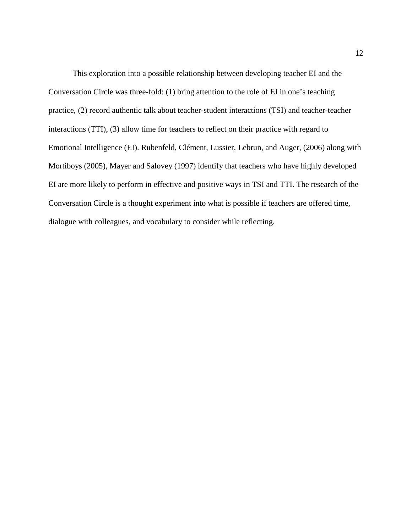This exploration into a possible relationship between developing teacher EI and the Conversation Circle was three-fold: (1) bring attention to the role of EI in one's teaching practice, (2) record authentic talk about teacher-student interactions (TSI) and teacher-teacher interactions (TTI), (3) allow time for teachers to reflect on their practice with regard to Emotional Intelligence (EI). Rubenfeld, Clément, Lussier, Lebrun, and Auger, (2006) along with Mortiboys (2005), Mayer and Salovey (1997) identify that teachers who have highly developed EI are more likely to perform in effective and positive ways in TSI and TTI. The research of the Conversation Circle is a thought experiment into what is possible if teachers are offered time, dialogue with colleagues, and vocabulary to consider while reflecting.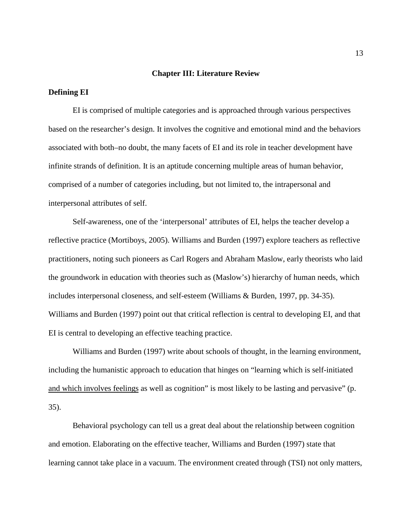#### **Chapter III: Literature Review**

#### **Defining EI**

EI is comprised of multiple categories and is approached through various perspectives based on the researcher's design. It involves the cognitive and emotional mind and the behaviors associated with both–no doubt, the many facets of EI and its role in teacher development have infinite strands of definition. It is an aptitude concerning multiple areas of human behavior, comprised of a number of categories including, but not limited to, the intrapersonal and interpersonal attributes of self.

Self-awareness, one of the 'interpersonal' attributes of EI, helps the teacher develop a reflective practice (Mortiboys, 2005). Williams and Burden (1997) explore teachers as reflective practitioners, noting such pioneers as Carl Rogers and Abraham Maslow, early theorists who laid the groundwork in education with theories such as (Maslow's) hierarchy of human needs, which includes interpersonal closeness, and self-esteem (Williams & Burden, 1997, pp. 34-35). Williams and Burden (1997) point out that critical reflection is central to developing EI, and that EI is central to developing an effective teaching practice.

Williams and Burden (1997) write about schools of thought, in the learning environment, including the humanistic approach to education that hinges on "learning which is self-initiated and which involves feelings as well as cognition" is most likely to be lasting and pervasive" (p. 35).

Behavioral psychology can tell us a great deal about the relationship between cognition and emotion. Elaborating on the effective teacher, Williams and Burden (1997) state that learning cannot take place in a vacuum. The environment created through (TSI) not only matters,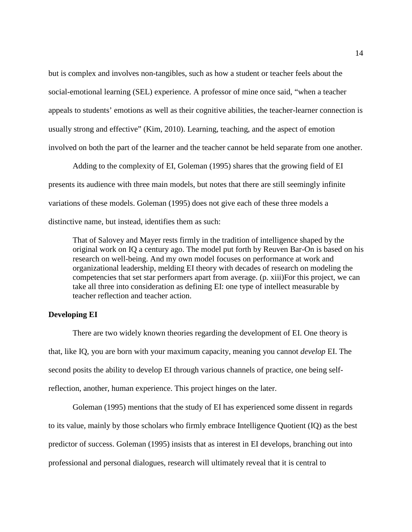but is complex and involves non-tangibles, such as how a student or teacher feels about the social-emotional learning (SEL) experience. A professor of mine once said, "when a teacher appeals to students' emotions as well as their cognitive abilities, the teacher-learner connection is usually strong and effective" (Kim, 2010). Learning, teaching, and the aspect of emotion involved on both the part of the learner and the teacher cannot be held separate from one another.

Adding to the complexity of EI, Goleman (1995) shares that the growing field of EI presents its audience with three main models, but notes that there are still seemingly infinite variations of these models. Goleman (1995) does not give each of these three models a distinctive name, but instead, identifies them as such:

That of Salovey and Mayer rests firmly in the tradition of intelligence shaped by the original work on IQ a century ago. The model put forth by Reuven Bar-On is based on his research on well-being. And my own model focuses on performance at work and organizational leadership, melding EI theory with decades of research on modeling the competencies that set star performers apart from average. (p. xiii)For this project, we can take all three into consideration as defining EI: one type of intellect measurable by teacher reflection and teacher action.

#### **Developing EI**

There are two widely known theories regarding the development of EI. One theory is that, like IQ, you are born with your maximum capacity, meaning you cannot *develop* EI. The second posits the ability to develop EI through various channels of practice, one being selfreflection, another, human experience. This project hinges on the later.

Goleman (1995) mentions that the study of EI has experienced some dissent in regards to its value, mainly by those scholars who firmly embrace Intelligence Quotient (IQ) as the best predictor of success. Goleman (1995) insists that as interest in EI develops, branching out into professional and personal dialogues, research will ultimately reveal that it is central to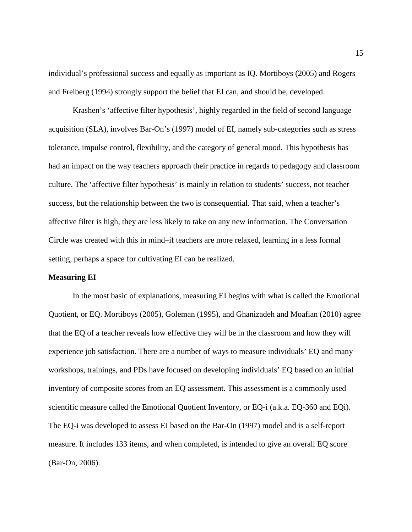individual's professional success and equally as important as IQ. Mortiboys (2005) and Rogers and Freiberg (1994) strongly support the belief that EI can, and should be, developed.

Krashen's 'affective filter hypothesis', highly regarded in the field of second language acquisition (SLA), involves Bar-On's (1997) model of EI, namely sub-categories such as stress tolerance, impulse control, flexibility, and the category of general mood. This hypothesis has had an impact on the way teachers approach their practice in regards to pedagogy and classroom culture. The 'affective filter hypothesis' is mainly in relation to students' success, not teacher success, but the relationship between the two is consequential. That said, when a teacher's affective filter is high, they are less likely to take on any new information. The Conversation Circle was created with this in mind–if teachers are more relaxed, learning in a less formal setting, perhaps a space for cultivating EI can be realized.

## **Measuring EI**

In the most basic of explanations, measuring EI begins with what is called the Emotional Quotient, or EQ. Mortiboys (2005), Goleman (1995), and Ghanizadeh and Moafian (2010) agree that the EQ of a teacher reveals how effective they will be in the classroom and how they will experience job satisfaction. There are a number of ways to measure individuals' EQ and many workshops, trainings, and PDs have focused on developing individuals' EQ based on an initial inventory of composite scores from an EQ assessment. This assessment is a commonly used scientific measure called the Emotional Quotient Inventory, or EQ-i (a.k.a. EQ-360 and EQi). The EQ-i was developed to assess EI based on the Bar-On (1997) model and is a self-report measure. It includes 133 items, and when completed, is intended to give an overall EQ score (Bar-On, 2006).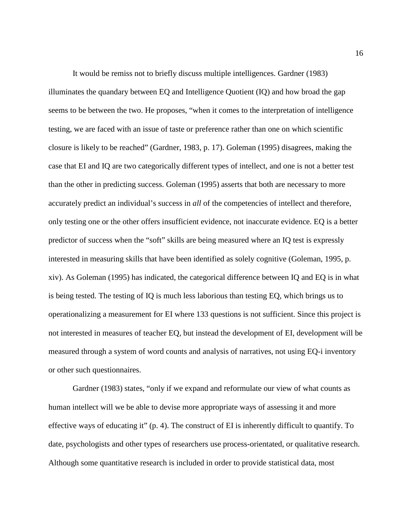It would be remiss not to briefly discuss multiple intelligences. Gardner (1983) illuminates the quandary between EQ and Intelligence Quotient (IQ) and how broad the gap seems to be between the two. He proposes, "when it comes to the interpretation of intelligence testing, we are faced with an issue of taste or preference rather than one on which scientific closure is likely to be reached" (Gardner, 1983, p. 17). Goleman (1995) disagrees, making the case that EI and IQ are two categorically different types of intellect, and one is not a better test than the other in predicting success. Goleman (1995) asserts that both are necessary to more accurately predict an individual's success in *all* of the competencies of intellect and therefore, only testing one or the other offers insufficient evidence, not inaccurate evidence. EQ is a better predictor of success when the "soft" skills are being measured where an IQ test is expressly interested in measuring skills that have been identified as solely cognitive (Goleman, 1995, p. xiv). As Goleman (1995) has indicated, the categorical difference between IQ and EQ is in what is being tested. The testing of IQ is much less laborious than testing EQ, which brings us to operationalizing a measurement for EI where 133 questions is not sufficient. Since this project is not interested in measures of teacher EQ, but instead the development of EI, development will be measured through a system of word counts and analysis of narratives, not using EQ-i inventory or other such questionnaires.

Gardner (1983) states, "only if we expand and reformulate our view of what counts as human intellect will we be able to devise more appropriate ways of assessing it and more effective ways of educating it" (p. 4). The construct of EI is inherently difficult to quantify. To date, psychologists and other types of researchers use process-orientated, or qualitative research. Although some quantitative research is included in order to provide statistical data, most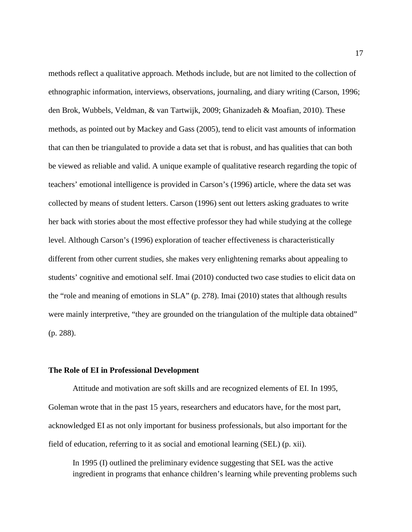methods reflect a qualitative approach. Methods include, but are not limited to the collection of ethnographic information, interviews, observations, journaling, and diary writing (Carson, 1996; den Brok, Wubbels, Veldman, & van Tartwijk, 2009; Ghanizadeh & Moafian, 2010). These methods, as pointed out by Mackey and Gass (2005), tend to elicit vast amounts of information that can then be triangulated to provide a data set that is robust, and has qualities that can both be viewed as reliable and valid. A unique example of qualitative research regarding the topic of teachers' emotional intelligence is provided in Carson's (1996) article, where the data set was collected by means of student letters. Carson (1996) sent out letters asking graduates to write her back with stories about the most effective professor they had while studying at the college level. Although Carson's (1996) exploration of teacher effectiveness is characteristically different from other current studies, she makes very enlightening remarks about appealing to students' cognitive and emotional self. Imai (2010) conducted two case studies to elicit data on the "role and meaning of emotions in SLA" (p. 278). Imai (2010) states that although results were mainly interpretive, "they are grounded on the triangulation of the multiple data obtained" (p. 288).

#### **The Role of EI in Professional Development**

Attitude and motivation are soft skills and are recognized elements of EI. In 1995, Goleman wrote that in the past 15 years, researchers and educators have, for the most part, acknowledged EI as not only important for business professionals, but also important for the field of education, referring to it as social and emotional learning (SEL) (p. xii).

In 1995 (I) outlined the preliminary evidence suggesting that SEL was the active ingredient in programs that enhance children's learning while preventing problems such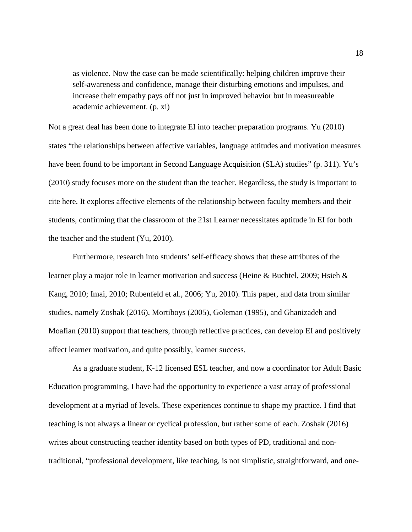as violence. Now the case can be made scientifically: helping children improve their self-awareness and confidence, manage their disturbing emotions and impulses, and increase their empathy pays off not just in improved behavior but in measureable academic achievement. (p. xi)

Not a great deal has been done to integrate EI into teacher preparation programs. Yu (2010) states "the relationships between affective variables, language attitudes and motivation measures have been found to be important in Second Language Acquisition (SLA) studies" (p. 311). Yu's (2010) study focuses more on the student than the teacher. Regardless, the study is important to cite here. It explores affective elements of the relationship between faculty members and their students, confirming that the classroom of the 21st Learner necessitates aptitude in EI for both the teacher and the student (Yu, 2010).

Furthermore, research into students' self-efficacy shows that these attributes of the learner play a major role in learner motivation and success (Heine & Buchtel, 2009; Hsieh & Kang, 2010; Imai, 2010; Rubenfeld et al., 2006; Yu, 2010). This paper, and data from similar studies, namely Zoshak (2016), Mortiboys (2005), Goleman (1995), and Ghanizadeh and Moafian (2010) support that teachers, through reflective practices, can develop EI and positively affect learner motivation, and quite possibly, learner success.

As a graduate student, K-12 licensed ESL teacher, and now a coordinator for Adult Basic Education programming, I have had the opportunity to experience a vast array of professional development at a myriad of levels. These experiences continue to shape my practice. I find that teaching is not always a linear or cyclical profession, but rather some of each. Zoshak (2016) writes about constructing teacher identity based on both types of PD, traditional and nontraditional, "professional development, like teaching, is not simplistic, straightforward, and one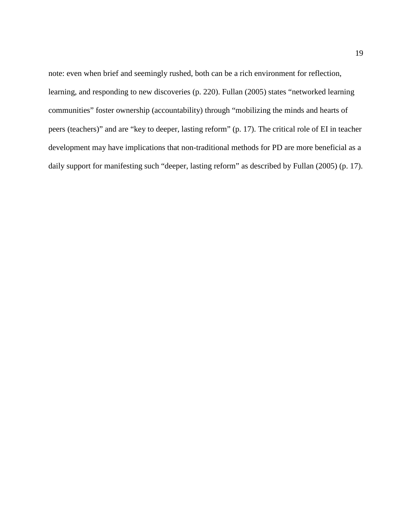note: even when brief and seemingly rushed, both can be a rich environment for reflection, learning, and responding to new discoveries (p. 220). Fullan (2005) states "networked learning communities" foster ownership (accountability) through "mobilizing the minds and hearts of peers (teachers)" and are "key to deeper, lasting reform" (p. 17). The critical role of EI in teacher development may have implications that non-traditional methods for PD are more beneficial as a daily support for manifesting such "deeper, lasting reform" as described by Fullan (2005) (p. 17).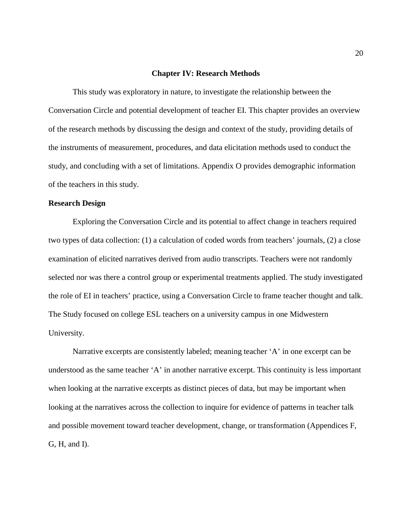#### **Chapter IV: Research Methods**

This study was exploratory in nature, to investigate the relationship between the Conversation Circle and potential development of teacher EI. This chapter provides an overview of the research methods by discussing the design and context of the study, providing details of the instruments of measurement, procedures, and data elicitation methods used to conduct the study, and concluding with a set of limitations. Appendix O provides demographic information of the teachers in this study.

### **Research Design**

Exploring the Conversation Circle and its potential to affect change in teachers required two types of data collection: (1) a calculation of coded words from teachers' journals, (2) a close examination of elicited narratives derived from audio transcripts. Teachers were not randomly selected nor was there a control group or experimental treatments applied. The study investigated the role of EI in teachers' practice, using a Conversation Circle to frame teacher thought and talk. The Study focused on college ESL teachers on a university campus in one Midwestern University.

Narrative excerpts are consistently labeled; meaning teacher 'A' in one excerpt can be understood as the same teacher 'A' in another narrative excerpt. This continuity is less important when looking at the narrative excerpts as distinct pieces of data, but may be important when looking at the narratives across the collection to inquire for evidence of patterns in teacher talk and possible movement toward teacher development, change, or transformation (Appendices F, G, H, and I).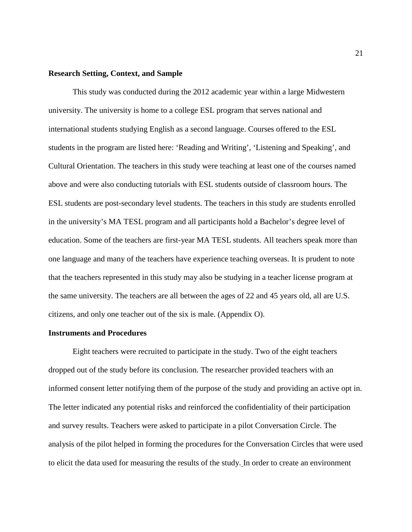#### **Research Setting, Context, and Sample**

This study was conducted during the 2012 academic year within a large Midwestern university. The university is home to a college ESL program that serves national and international students studying English as a second language. Courses offered to the ESL students in the program are listed here: 'Reading and Writing', 'Listening and Speaking', and Cultural Orientation. The teachers in this study were teaching at least one of the courses named above and were also conducting tutorials with ESL students outside of classroom hours. The ESL students are post-secondary level students. The teachers in this study are students enrolled in the university's MA TESL program and all participants hold a Bachelor's degree level of education. Some of the teachers are first-year MA TESL students. All teachers speak more than one language and many of the teachers have experience teaching overseas. It is prudent to note that the teachers represented in this study may also be studying in a teacher license program at the same university. The teachers are all between the ages of 22 and 45 years old, all are U.S. citizens, and only one teacher out of the six is male. (Appendix O).

#### **Instruments and Procedures**

Eight teachers were recruited to participate in the study. Two of the eight teachers dropped out of the study before its conclusion. The researcher provided teachers with an informed consent letter notifying them of the purpose of the study and providing an active opt in. The letter indicated any potential risks and reinforced the confidentiality of their participation and survey results. Teachers were asked to participate in a pilot Conversation Circle. The analysis of the pilot helped in forming the procedures for the Conversation Circles that were used to elicit the data used for measuring the results of the study. In order to create an environment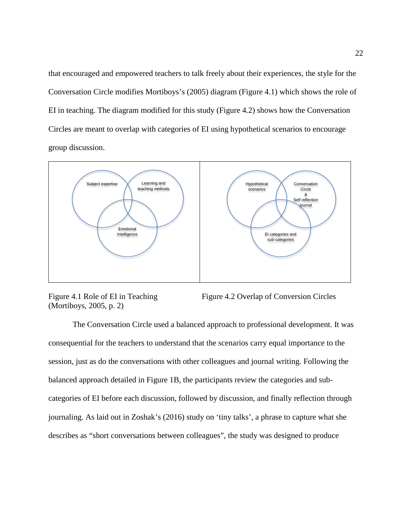that encouraged and empowered teachers to talk freely about their experiences, the style for the Conversation Circle modifies Mortiboys's (2005) diagram (Figure 4.1) which shows the role of EI in teaching. The diagram modified for this study (Figure 4.2) shows how the Conversation Circles are meant to overlap with categories of EI using hypothetical scenarios to encourage group discussion.



(Mortiboys, 2005, p. 2)

Figure 4.1 Role of EI in Teaching Figure 4.2 Overlap of Conversion Circles

The Conversation Circle used a balanced approach to professional development. It was consequential for the teachers to understand that the scenarios carry equal importance to the session, just as do the conversations with other colleagues and journal writing. Following the balanced approach detailed in Figure 1B, the participants review the categories and subcategories of EI before each discussion, followed by discussion, and finally reflection through journaling. As laid out in Zoshak's (2016) study on 'tiny talks', a phrase to capture what she describes as "short conversations between colleagues", the study was designed to produce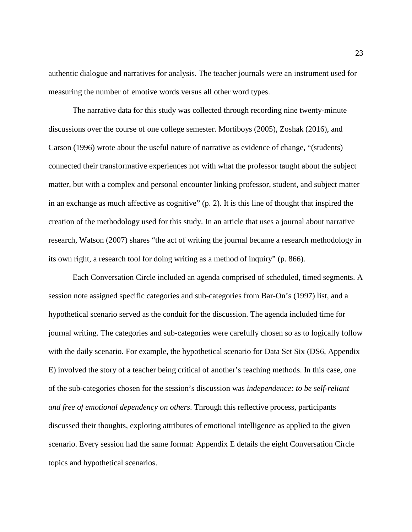authentic dialogue and narratives for analysis. The teacher journals were an instrument used for measuring the number of emotive words versus all other word types.

The narrative data for this study was collected through recording nine twenty-minute discussions over the course of one college semester. Mortiboys (2005), Zoshak (2016), and Carson (1996) wrote about the useful nature of narrative as evidence of change, "(students) connected their transformative experiences not with what the professor taught about the subject matter, but with a complex and personal encounter linking professor, student, and subject matter in an exchange as much affective as cognitive" (p. 2). It is this line of thought that inspired the creation of the methodology used for this study. In an article that uses a journal about narrative research, Watson (2007) shares "the act of writing the journal became a research methodology in its own right, a research tool for doing writing as a method of inquiry" (p. 866).

Each Conversation Circle included an agenda comprised of scheduled, timed segments. A session note assigned specific categories and sub-categories from Bar-On's (1997) list, and a hypothetical scenario served as the conduit for the discussion. The agenda included time for journal writing. The categories and sub-categories were carefully chosen so as to logically follow with the daily scenario. For example, the hypothetical scenario for Data Set Six (DS6, Appendix E) involved the story of a teacher being critical of another's teaching methods. In this case, one of the sub-categories chosen for the session's discussion was *independence: to be self-reliant and free of emotional dependency on others*. Through this reflective process, participants discussed their thoughts, exploring attributes of emotional intelligence as applied to the given scenario. Every session had the same format: Appendix E details the eight Conversation Circle topics and hypothetical scenarios.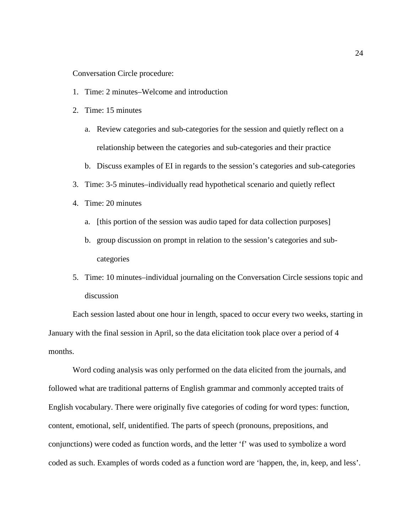Conversation Circle procedure:

- 1. Time: 2 minutes–Welcome and introduction
- 2. Time: 15 minutes
	- a. Review categories and sub-categories for the session and quietly reflect on a relationship between the categories and sub-categories and their practice
	- b. Discuss examples of EI in regards to the session's categories and sub-categories
- 3. Time: 3-5 minutes–individually read hypothetical scenario and quietly reflect
- 4. Time: 20 minutes
	- a. [this portion of the session was audio taped for data collection purposes]
	- b. group discussion on prompt in relation to the session's categories and subcategories
- 5. Time: 10 minutes–individual journaling on the Conversation Circle sessions topic and discussion

Each session lasted about one hour in length, spaced to occur every two weeks, starting in January with the final session in April, so the data elicitation took place over a period of 4 months.

Word coding analysis was only performed on the data elicited from the journals, and followed what are traditional patterns of English grammar and commonly accepted traits of English vocabulary. There were originally five categories of coding for word types: function, content, emotional, self, unidentified. The parts of speech (pronouns, prepositions, and conjunctions) were coded as function words, and the letter 'f' was used to symbolize a word coded as such. Examples of words coded as a function word are 'happen, the, in, keep, and less'.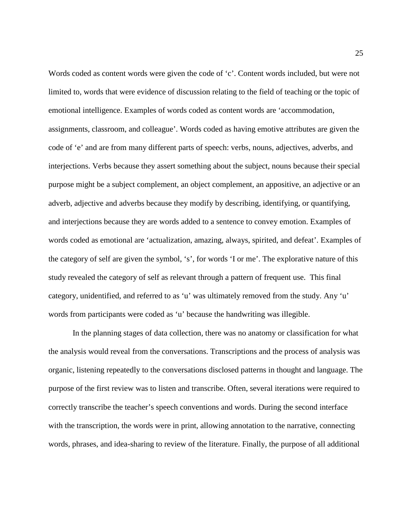Words coded as content words were given the code of 'c'. Content words included, but were not limited to, words that were evidence of discussion relating to the field of teaching or the topic of emotional intelligence. Examples of words coded as content words are 'accommodation, assignments, classroom, and colleague'. Words coded as having emotive attributes are given the code of 'e' and are from many different parts of speech: verbs, nouns, adjectives, adverbs, and interjections. Verbs because they assert something about the subject, nouns because their special purpose might be a subject complement, an object complement, an appositive, an adjective or an adverb, adjective and adverbs because they modify by describing, identifying, or quantifying, and interjections because they are words added to a sentence to convey emotion. Examples of words coded as emotional are 'actualization, amazing, always, spirited, and defeat'. Examples of the category of self are given the symbol, 's', for words 'I or me'. The explorative nature of this study revealed the category of self as relevant through a pattern of frequent use. This final category, unidentified, and referred to as 'u' was ultimately removed from the study. Any 'u' words from participants were coded as 'u' because the handwriting was illegible.

In the planning stages of data collection, there was no anatomy or classification for what the analysis would reveal from the conversations. Transcriptions and the process of analysis was organic, listening repeatedly to the conversations disclosed patterns in thought and language. The purpose of the first review was to listen and transcribe. Often, several iterations were required to correctly transcribe the teacher's speech conventions and words. During the second interface with the transcription, the words were in print, allowing annotation to the narrative, connecting words, phrases, and idea-sharing to review of the literature. Finally, the purpose of all additional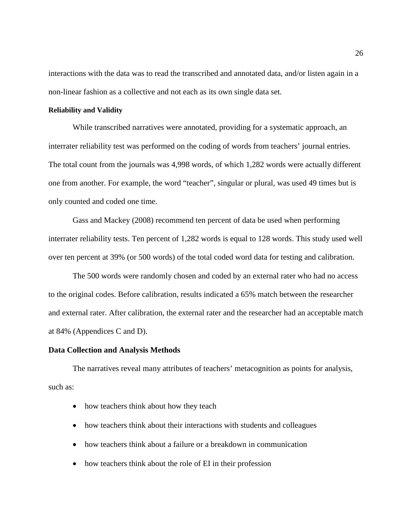interactions with the data was to read the transcribed and annotated data, and/or listen again in a non-linear fashion as a collective and not each as its own single data set.

#### **Reliability and Validity**

While transcribed narratives were annotated, providing for a systematic approach, an interrater reliability test was performed on the coding of words from teachers' journal entries. The total count from the journals was 4,998 words, of which 1,282 words were actually different one from another. For example, the word "teacher", singular or plural, was used 49 times but is only counted and coded one time.

Gass and Mackey (2008) recommend ten percent of data be used when performing interrater reliability tests. Ten percent of 1,282 words is equal to 128 words. This study used well over ten percent at 39% (or 500 words) of the total coded word data for testing and calibration.

The 500 words were randomly chosen and coded by an external rater who had no access to the original codes. Before calibration, results indicated a 65% match between the researcher and external rater. After calibration, the external rater and the researcher had an acceptable match at 84% (Appendices C and D).

#### **Data Collection and Analysis Methods**

The narratives reveal many attributes of teachers' metacognition as points for analysis, such as:

- how teachers think about how they teach
- how teachers think about their interactions with students and colleagues
- how teachers think about a failure or a breakdown in communication
- how teachers think about the role of EI in their profession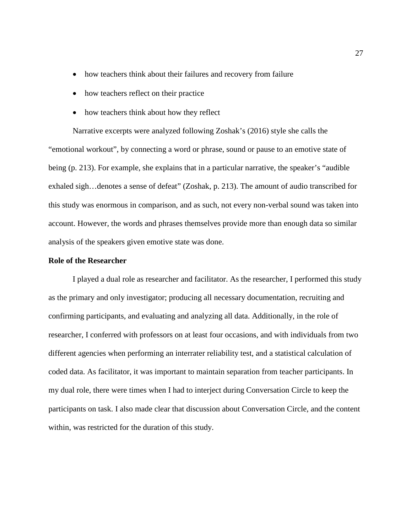- how teachers think about their failures and recovery from failure
- how teachers reflect on their practice
- how teachers think about how they reflect

Narrative excerpts were analyzed following Zoshak's (2016) style she calls the "emotional workout", by connecting a word or phrase, sound or pause to an emotive state of being (p. 213). For example, she explains that in a particular narrative, the speaker's "audible exhaled sigh... denotes a sense of defeat" (Zoshak, p. 213). The amount of audio transcribed for this study was enormous in comparison, and as such, not every non-verbal sound was taken into account. However, the words and phrases themselves provide more than enough data so similar analysis of the speakers given emotive state was done.

#### **Role of the Researcher**

I played a dual role as researcher and facilitator. As the researcher, I performed this study as the primary and only investigator; producing all necessary documentation, recruiting and confirming participants, and evaluating and analyzing all data. Additionally, in the role of researcher, I conferred with professors on at least four occasions, and with individuals from two different agencies when performing an interrater reliability test, and a statistical calculation of coded data. As facilitator, it was important to maintain separation from teacher participants. In my dual role, there were times when I had to interject during Conversation Circle to keep the participants on task. I also made clear that discussion about Conversation Circle, and the content within, was restricted for the duration of this study.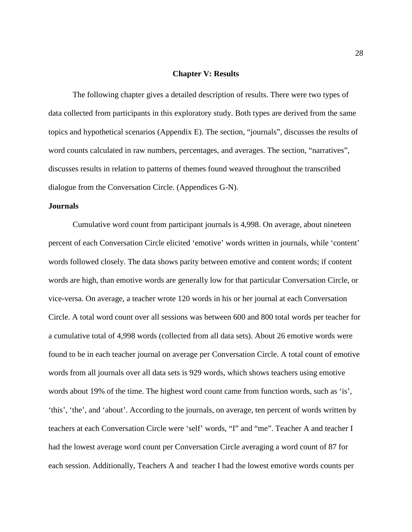#### **Chapter V: Results**

The following chapter gives a detailed description of results. There were two types of data collected from participants in this exploratory study. Both types are derived from the same topics and hypothetical scenarios (Appendix E). The section, "journals", discusses the results of word counts calculated in raw numbers, percentages, and averages. The section, "narratives", discusses results in relation to patterns of themes found weaved throughout the transcribed dialogue from the Conversation Circle. (Appendices G-N).

#### **Journals**

Cumulative word count from participant journals is 4,998. On average, about nineteen percent of each Conversation Circle elicited 'emotive' words written in journals, while 'content' words followed closely. The data shows parity between emotive and content words; if content words are high, than emotive words are generally low for that particular Conversation Circle, or vice-versa. On average, a teacher wrote 120 words in his or her journal at each Conversation Circle. A total word count over all sessions was between 600 and 800 total words per teacher for a cumulative total of 4,998 words (collected from all data sets). About 26 emotive words were found to be in each teacher journal on average per Conversation Circle. A total count of emotive words from all journals over all data sets is 929 words, which shows teachers using emotive words about 19% of the time. The highest word count came from function words, such as 'is', 'this', 'the', and 'about'. According to the journals, on average, ten percent of words written by teachers at each Conversation Circle were 'self' words, "I" and "me". Teacher A and teacher I had the lowest average word count per Conversation Circle averaging a word count of 87 for each session. Additionally, Teachers A and teacher I had the lowest emotive words counts per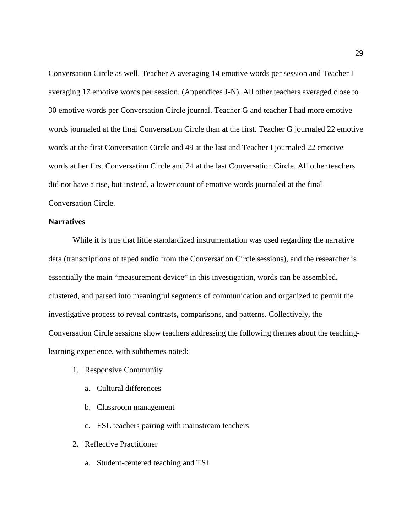Conversation Circle as well. Teacher A averaging 14 emotive words per session and Teacher I averaging 17 emotive words per session. (Appendices J-N). All other teachers averaged close to 30 emotive words per Conversation Circle journal. Teacher G and teacher I had more emotive words journaled at the final Conversation Circle than at the first. Teacher G journaled 22 emotive words at the first Conversation Circle and 49 at the last and Teacher I journaled 22 emotive words at her first Conversation Circle and 24 at the last Conversation Circle. All other teachers did not have a rise, but instead, a lower count of emotive words journaled at the final Conversation Circle.

## **Narratives**

While it is true that little standardized instrumentation was used regarding the narrative data (transcriptions of taped audio from the Conversation Circle sessions), and the researcher is essentially the main "measurement device" in this investigation, words can be assembled, clustered, and parsed into meaningful segments of communication and organized to permit the investigative process to reveal contrasts, comparisons, and patterns. Collectively, the Conversation Circle sessions show teachers addressing the following themes about the teachinglearning experience, with subthemes noted:

- 1. Responsive Community
	- a. Cultural differences
	- b. Classroom management
	- c. ESL teachers pairing with mainstream teachers
- 2. Reflective Practitioner
	- a. Student-centered teaching and TSI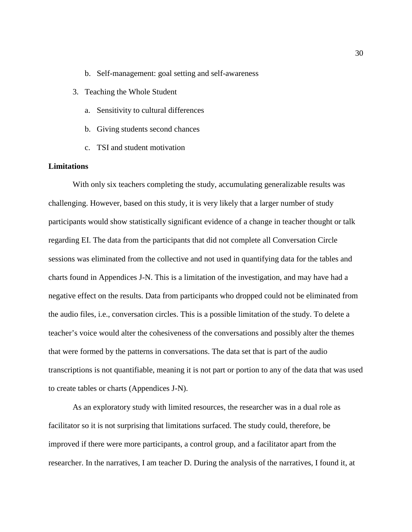- b. Self-management: goal setting and self-awareness
- 3. Teaching the Whole Student
	- a. Sensitivity to cultural differences
	- b. Giving students second chances
	- c. TSI and student motivation

## **Limitations**

With only six teachers completing the study, accumulating generalizable results was challenging. However, based on this study, it is very likely that a larger number of study participants would show statistically significant evidence of a change in teacher thought or talk regarding EI. The data from the participants that did not complete all Conversation Circle sessions was eliminated from the collective and not used in quantifying data for the tables and charts found in Appendices J-N. This is a limitation of the investigation, and may have had a negative effect on the results. Data from participants who dropped could not be eliminated from the audio files, i.e., conversation circles. This is a possible limitation of the study. To delete a teacher's voice would alter the cohesiveness of the conversations and possibly alter the themes that were formed by the patterns in conversations. The data set that is part of the audio transcriptions is not quantifiable, meaning it is not part or portion to any of the data that was used to create tables or charts (Appendices J-N).

As an exploratory study with limited resources, the researcher was in a dual role as facilitator so it is not surprising that limitations surfaced. The study could, therefore, be improved if there were more participants, a control group, and a facilitator apart from the researcher. In the narratives, I am teacher D. During the analysis of the narratives, I found it, at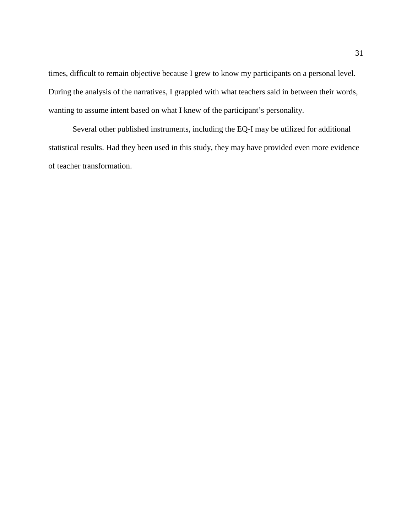times, difficult to remain objective because I grew to know my participants on a personal level. During the analysis of the narratives, I grappled with what teachers said in between their words, wanting to assume intent based on what I knew of the participant's personality.

Several other published instruments, including the EQ-I may be utilized for additional statistical results. Had they been used in this study, they may have provided even more evidence of teacher transformation.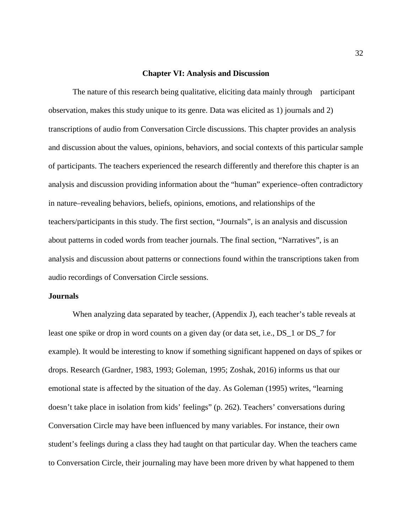#### **Chapter VI: Analysis and Discussion**

The nature of this research being qualitative, eliciting data mainly through participant observation, makes this study unique to its genre. Data was elicited as 1) journals and 2) transcriptions of audio from Conversation Circle discussions. This chapter provides an analysis and discussion about the values, opinions, behaviors, and social contexts of this particular sample of participants. The teachers experienced the research differently and therefore this chapter is an analysis and discussion providing information about the "human" experience–often contradictory in nature–revealing behaviors, beliefs, opinions, emotions, and relationships of the teachers/participants in this study. The first section, "Journals", is an analysis and discussion about patterns in coded words from teacher journals. The final section, "Narratives", is an analysis and discussion about patterns or connections found within the transcriptions taken from audio recordings of Conversation Circle sessions.

#### **Journals**

When analyzing data separated by teacher, (Appendix J), each teacher's table reveals at least one spike or drop in word counts on a given day (or data set, i.e., DS\_1 or DS\_7 for example). It would be interesting to know if something significant happened on days of spikes or drops. Research (Gardner, 1983, 1993; Goleman, 1995; Zoshak, 2016) informs us that our emotional state is affected by the situation of the day. As Goleman (1995) writes, "learning doesn't take place in isolation from kids' feelings" (p. 262). Teachers' conversations during Conversation Circle may have been influenced by many variables. For instance, their own student's feelings during a class they had taught on that particular day. When the teachers came to Conversation Circle, their journaling may have been more driven by what happened to them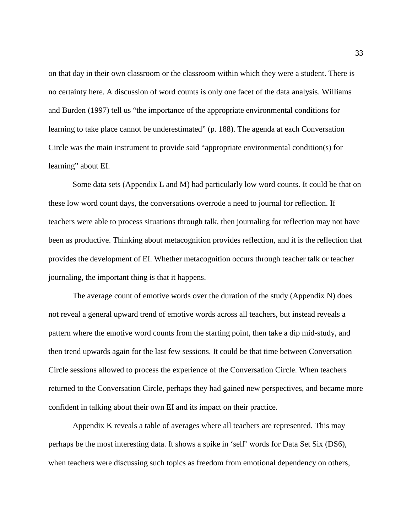on that day in their own classroom or the classroom within which they were a student. There is no certainty here. A discussion of word counts is only one facet of the data analysis. Williams and Burden (1997) tell us "the importance of the appropriate environmental conditions for learning to take place cannot be underestimated" (p. 188). The agenda at each Conversation Circle was the main instrument to provide said "appropriate environmental condition(s) for learning" about EI.

Some data sets (Appendix L and M) had particularly low word counts. It could be that on these low word count days, the conversations overrode a need to journal for reflection. If teachers were able to process situations through talk, then journaling for reflection may not have been as productive. Thinking about metacognition provides reflection, and it is the reflection that provides the development of EI. Whether metacognition occurs through teacher talk or teacher journaling, the important thing is that it happens.

The average count of emotive words over the duration of the study (Appendix N) does not reveal a general upward trend of emotive words across all teachers, but instead reveals a pattern where the emotive word counts from the starting point, then take a dip mid-study, and then trend upwards again for the last few sessions. It could be that time between Conversation Circle sessions allowed to process the experience of the Conversation Circle. When teachers returned to the Conversation Circle, perhaps they had gained new perspectives, and became more confident in talking about their own EI and its impact on their practice.

Appendix K reveals a table of averages where all teachers are represented. This may perhaps be the most interesting data. It shows a spike in 'self' words for Data Set Six (DS6), when teachers were discussing such topics as freedom from emotional dependency on others,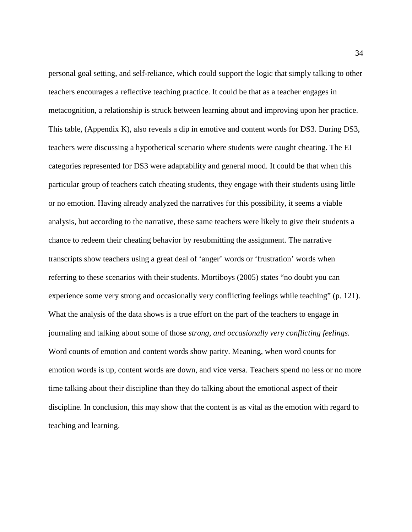personal goal setting, and self-reliance, which could support the logic that simply talking to other teachers encourages a reflective teaching practice. It could be that as a teacher engages in metacognition, a relationship is struck between learning about and improving upon her practice. This table, (Appendix K), also reveals a dip in emotive and content words for DS3. During DS3, teachers were discussing a hypothetical scenario where students were caught cheating. The EI categories represented for DS3 were adaptability and general mood. It could be that when this particular group of teachers catch cheating students, they engage with their students using little or no emotion. Having already analyzed the narratives for this possibility, it seems a viable analysis, but according to the narrative, these same teachers were likely to give their students a chance to redeem their cheating behavior by resubmitting the assignment. The narrative transcripts show teachers using a great deal of 'anger' words or 'frustration' words when referring to these scenarios with their students. Mortiboys (2005) states "no doubt you can experience some very strong and occasionally very conflicting feelings while teaching" (p. 121). What the analysis of the data shows is a true effort on the part of the teachers to engage in journaling and talking about some of those *strong, and occasionally very conflicting feelings.* Word counts of emotion and content words show parity. Meaning, when word counts for emotion words is up, content words are down, and vice versa. Teachers spend no less or no more time talking about their discipline than they do talking about the emotional aspect of their discipline. In conclusion, this may show that the content is as vital as the emotion with regard to teaching and learning.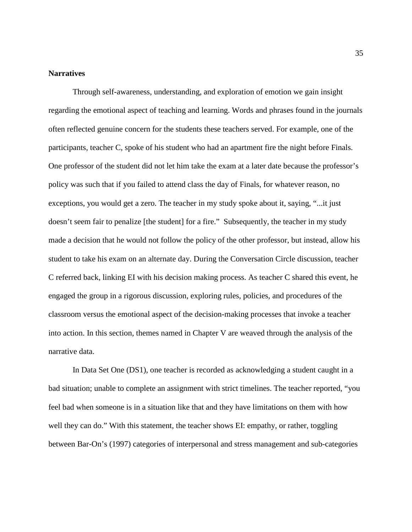#### **Narratives**

Through self-awareness, understanding, and exploration of emotion we gain insight regarding the emotional aspect of teaching and learning. Words and phrases found in the journals often reflected genuine concern for the students these teachers served. For example, one of the participants, teacher C, spoke of his student who had an apartment fire the night before Finals. One professor of the student did not let him take the exam at a later date because the professor's policy was such that if you failed to attend class the day of Finals, for whatever reason, no exceptions, you would get a zero. The teacher in my study spoke about it, saying, "...it just doesn't seem fair to penalize [the student] for a fire." Subsequently, the teacher in my study made a decision that he would not follow the policy of the other professor, but instead, allow his student to take his exam on an alternate day. During the Conversation Circle discussion, teacher C referred back, linking EI with his decision making process. As teacher C shared this event, he engaged the group in a rigorous discussion, exploring rules, policies, and procedures of the classroom versus the emotional aspect of the decision-making processes that invoke a teacher into action. In this section, themes named in Chapter V are weaved through the analysis of the narrative data.

In Data Set One (DS1), one teacher is recorded as acknowledging a student caught in a bad situation; unable to complete an assignment with strict timelines. The teacher reported, "you feel bad when someone is in a situation like that and they have limitations on them with how well they can do." With this statement, the teacher shows EI: empathy, or rather, toggling between Bar-On's (1997) categories of interpersonal and stress management and sub-categories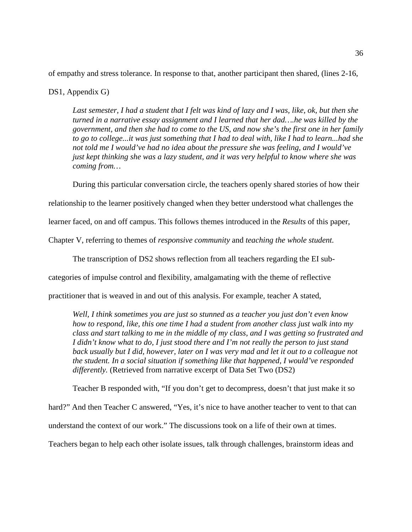of empathy and stress tolerance. In response to that, another participant then shared, (lines 2-16,

#### DS1, Appendix G)

*Last semester, I had a student that I felt was kind of lazy and I was, like, ok, but then she turned in a narrative essay assignment and I learned that her dad….he was killed by the government, and then she had to come to the US, and now she's the first one in her family to go to college...it was just something that I had to deal with, like I had to learn...had she not told me I would've had no idea about the pressure she was feeling, and I would've just kept thinking she was a lazy student, and it was very helpful to know where she was coming from…*

During this particular conversation circle, the teachers openly shared stories of how their

relationship to the learner positively changed when they better understood what challenges the

learner faced, on and off campus. This follows themes introduced in the *Results* of this paper,

Chapter V, referring to themes of *responsive community* and *teaching the whole student.*

The transcription of DS2 shows reflection from all teachers regarding the EI sub-

categories of impulse control and flexibility, amalgamating with the theme of reflective

practitioner that is weaved in and out of this analysis. For example, teacher A stated,

*Well, I think sometimes you are just so stunned as a teacher you just don't even know how to respond, like, this one time I had a student from another class just walk into my class and start talking to me in the middle of my class, and I was getting so frustrated and I didn't know what to do, I just stood there and I'm not really the person to just stand back usually but I did, however, later on I was very mad and let it out to a colleague not the student. In a social situation if something like that happened, I would've responded differently.* (Retrieved from narrative excerpt of Data Set Two (DS2)

Teacher B responded with, "If you don't get to decompress, doesn't that just make it so

hard?" And then Teacher C answered, "Yes, it's nice to have another teacher to vent to that can

understand the context of our work." The discussions took on a life of their own at times.

Teachers began to help each other isolate issues, talk through challenges, brainstorm ideas and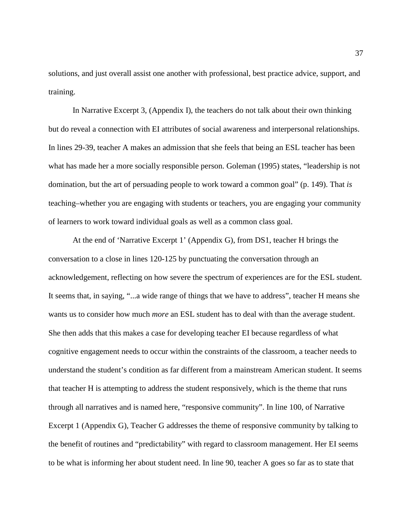solutions, and just overall assist one another with professional, best practice advice, support, and training.

In Narrative Excerpt 3, (Appendix I), the teachers do not talk about their own thinking but do reveal a connection with EI attributes of social awareness and interpersonal relationships. In lines 29-39, teacher A makes an admission that she feels that being an ESL teacher has been what has made her a more socially responsible person. Goleman (1995) states, "leadership is not domination, but the art of persuading people to work toward a common goal" (p. 149). That *is* teaching–whether you are engaging with students or teachers, you are engaging your community of learners to work toward individual goals as well as a common class goal.

At the end of 'Narrative Excerpt 1' (Appendix G), from DS1, teacher H brings the conversation to a close in lines 120-125 by punctuating the conversation through an acknowledgement, reflecting on how severe the spectrum of experiences are for the ESL student. It seems that, in saying, "...a wide range of things that we have to address", teacher H means she wants us to consider how much *more* an ESL student has to deal with than the average student. She then adds that this makes a case for developing teacher EI because regardless of what cognitive engagement needs to occur within the constraints of the classroom, a teacher needs to understand the student's condition as far different from a mainstream American student. It seems that teacher H is attempting to address the student responsively, which is the theme that runs through all narratives and is named here, "responsive community". In line 100, of Narrative Excerpt 1 (Appendix G), Teacher G addresses the theme of responsive community by talking to the benefit of routines and "predictability" with regard to classroom management. Her EI seems to be what is informing her about student need. In line 90, teacher A goes so far as to state that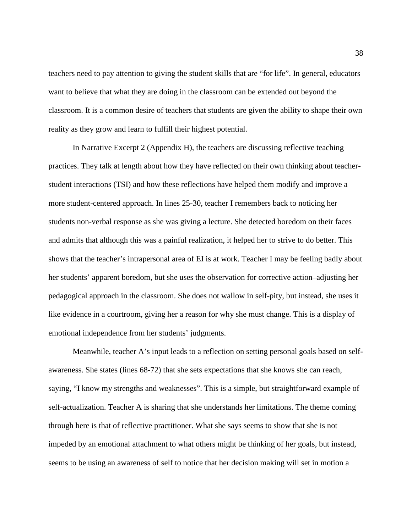teachers need to pay attention to giving the student skills that are "for life". In general, educators want to believe that what they are doing in the classroom can be extended out beyond the classroom. It is a common desire of teachers that students are given the ability to shape their own reality as they grow and learn to fulfill their highest potential.

In Narrative Excerpt 2 (Appendix H), the teachers are discussing reflective teaching practices. They talk at length about how they have reflected on their own thinking about teacherstudent interactions (TSI) and how these reflections have helped them modify and improve a more student-centered approach. In lines 25-30, teacher I remembers back to noticing her students non-verbal response as she was giving a lecture. She detected boredom on their faces and admits that although this was a painful realization, it helped her to strive to do better. This shows that the teacher's intrapersonal area of EI is at work. Teacher I may be feeling badly about her students' apparent boredom, but she uses the observation for corrective action–adjusting her pedagogical approach in the classroom. She does not wallow in self-pity, but instead, she uses it like evidence in a courtroom, giving her a reason for why she must change. This is a display of emotional independence from her students' judgments.

Meanwhile, teacher A's input leads to a reflection on setting personal goals based on selfawareness. She states (lines 68-72) that she sets expectations that she knows she can reach, saying, "I know my strengths and weaknesses". This is a simple, but straightforward example of self-actualization. Teacher A is sharing that she understands her limitations. The theme coming through here is that of reflective practitioner. What she says seems to show that she is not impeded by an emotional attachment to what others might be thinking of her goals, but instead, seems to be using an awareness of self to notice that her decision making will set in motion a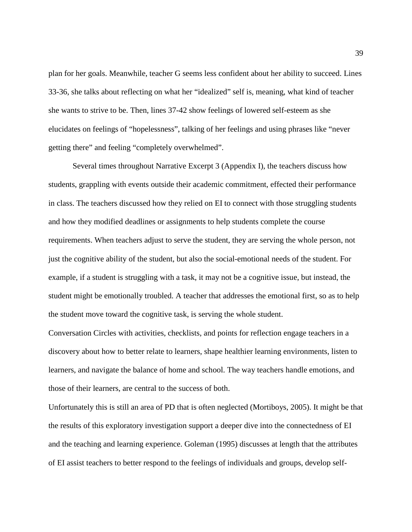plan for her goals. Meanwhile, teacher G seems less confident about her ability to succeed. Lines 33-36, she talks about reflecting on what her "idealized" self is, meaning, what kind of teacher she wants to strive to be. Then, lines 37-42 show feelings of lowered self-esteem as she elucidates on feelings of "hopelessness", talking of her feelings and using phrases like "never getting there" and feeling "completely overwhelmed".

Several times throughout Narrative Excerpt 3 (Appendix I), the teachers discuss how students, grappling with events outside their academic commitment, effected their performance in class. The teachers discussed how they relied on EI to connect with those struggling students and how they modified deadlines or assignments to help students complete the course requirements. When teachers adjust to serve the student, they are serving the whole person, not just the cognitive ability of the student, but also the social-emotional needs of the student. For example, if a student is struggling with a task, it may not be a cognitive issue, but instead, the student might be emotionally troubled. A teacher that addresses the emotional first, so as to help the student move toward the cognitive task, is serving the whole student.

Conversation Circles with activities, checklists, and points for reflection engage teachers in a discovery about how to better relate to learners, shape healthier learning environments, listen to learners, and navigate the balance of home and school. The way teachers handle emotions, and those of their learners, are central to the success of both.

Unfortunately this is still an area of PD that is often neglected (Mortiboys, 2005). It might be that the results of this exploratory investigation support a deeper dive into the connectedness of EI and the teaching and learning experience. Goleman (1995) discusses at length that the attributes of EI assist teachers to better respond to the feelings of individuals and groups, develop self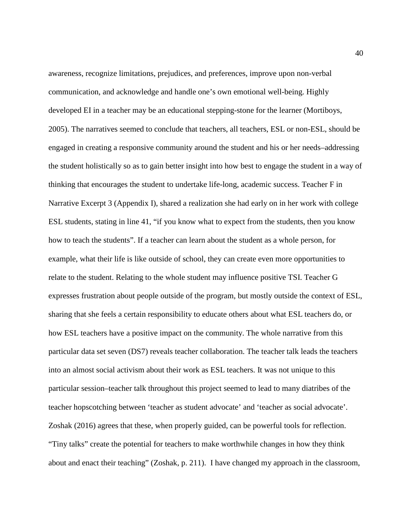awareness, recognize limitations, prejudices, and preferences, improve upon non-verbal communication, and acknowledge and handle one's own emotional well-being. Highly developed EI in a teacher may be an educational stepping-stone for the learner (Mortiboys, 2005). The narratives seemed to conclude that teachers, all teachers, ESL or non-ESL, should be engaged in creating a responsive community around the student and his or her needs–addressing the student holistically so as to gain better insight into how best to engage the student in a way of thinking that encourages the student to undertake life-long, academic success. Teacher F in Narrative Excerpt 3 (Appendix I), shared a realization she had early on in her work with college ESL students, stating in line 41, "if you know what to expect from the students, then you know how to teach the students". If a teacher can learn about the student as a whole person, for example, what their life is like outside of school, they can create even more opportunities to relate to the student. Relating to the whole student may influence positive TSI. Teacher G expresses frustration about people outside of the program, but mostly outside the context of ESL, sharing that she feels a certain responsibility to educate others about what ESL teachers do, or how ESL teachers have a positive impact on the community. The whole narrative from this particular data set seven (DS7) reveals teacher collaboration. The teacher talk leads the teachers into an almost social activism about their work as ESL teachers. It was not unique to this particular session–teacher talk throughout this project seemed to lead to many diatribes of the teacher hopscotching between 'teacher as student advocate' and 'teacher as social advocate'. Zoshak (2016) agrees that these, when properly guided, can be powerful tools for reflection. "Tiny talks" create the potential for teachers to make worthwhile changes in how they think about and enact their teaching" (Zoshak, p. 211). I have changed my approach in the classroom,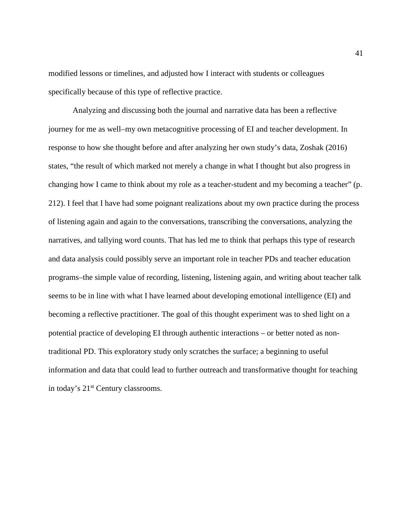modified lessons or timelines, and adjusted how I interact with students or colleagues specifically because of this type of reflective practice.

Analyzing and discussing both the journal and narrative data has been a reflective journey for me as well–my own metacognitive processing of EI and teacher development. In response to how she thought before and after analyzing her own study's data, Zoshak (2016) states, "the result of which marked not merely a change in what I thought but also progress in changing how I came to think about my role as a teacher-student and my becoming a teacher" (p. 212). I feel that I have had some poignant realizations about my own practice during the process of listening again and again to the conversations, transcribing the conversations, analyzing the narratives, and tallying word counts. That has led me to think that perhaps this type of research and data analysis could possibly serve an important role in teacher PDs and teacher education programs–the simple value of recording, listening, listening again, and writing about teacher talk seems to be in line with what I have learned about developing emotional intelligence (EI) and becoming a reflective practitioner. The goal of this thought experiment was to shed light on a potential practice of developing EI through authentic interactions – or better noted as nontraditional PD. This exploratory study only scratches the surface; a beginning to useful information and data that could lead to further outreach and transformative thought for teaching in today's 21st Century classrooms.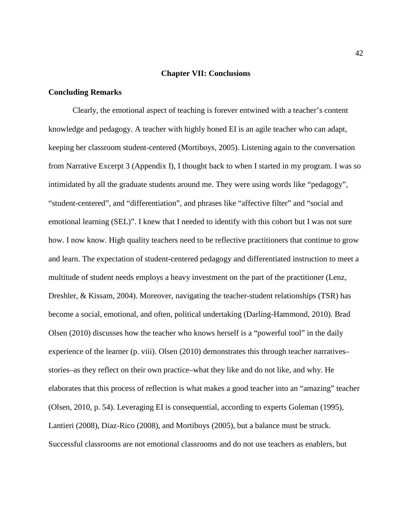#### **Chapter VII: Conclusions**

#### **Concluding Remarks**

Clearly, the emotional aspect of teaching is forever entwined with a teacher's content knowledge and pedagogy. A teacher with highly honed EI is an agile teacher who can adapt, keeping her classroom student-centered (Mortiboys, 2005). Listening again to the conversation from Narrative Excerpt 3 (Appendix I), I thought back to when I started in my program. I was so intimidated by all the graduate students around me. They were using words like "pedagogy", "student-centered", and "differentiation", and phrases like "affective filter" and "social and emotional learning (SEL)". I knew that I needed to identify with this cohort but I was not sure how. I now know. High quality teachers need to be reflective practitioners that continue to grow and learn. The expectation of student-centered pedagogy and differentiated instruction to meet a multitude of student needs employs a heavy investment on the part of the practitioner (Lenz, Dreshler, & Kissam, 2004). Moreover, navigating the teacher-student relationships (TSR) has become a social, emotional, and often, political undertaking (Darling-Hammond, 2010). Brad Olsen (2010) discusses how the teacher who knows herself is a "powerful tool" in the daily experience of the learner (p. viii). Olsen (2010) demonstrates this through teacher narratives– stories–as they reflect on their own practice–what they like and do not like, and why. He elaborates that this process of reflection is what makes a good teacher into an "amazing" teacher (Olsen, 2010, p. 54). Leveraging EI is consequential, according to experts Goleman (1995), Lantieri (2008), Diaz-Rico (2008), and Mortiboys (2005), but a balance must be struck. Successful classrooms are not emotional classrooms and do not use teachers as enablers, but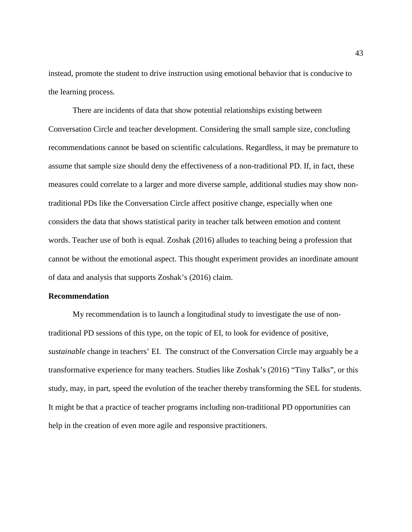instead, promote the student to drive instruction using emotional behavior that is conducive to the learning process.

There are incidents of data that show potential relationships existing between Conversation Circle and teacher development. Considering the small sample size, concluding recommendations cannot be based on scientific calculations. Regardless, it may be premature to assume that sample size should deny the effectiveness of a non-traditional PD. If, in fact, these measures could correlate to a larger and more diverse sample, additional studies may show nontraditional PDs like the Conversation Circle affect positive change, especially when one considers the data that shows statistical parity in teacher talk between emotion and content words. Teacher use of both is equal. Zoshak (2016) alludes to teaching being a profession that cannot be without the emotional aspect. This thought experiment provides an inordinate amount of data and analysis that supports Zoshak's (2016) claim.

#### **Recommendation**

My recommendation is to launch a longitudinal study to investigate the use of nontraditional PD sessions of this type, on the topic of EI, to look for evidence of positive, *sustainable* change in teachers' EI. The construct of the Conversation Circle may arguably be a transformative experience for many teachers. Studies like Zoshak's (2016) "Tiny Talks", or this study, may, in part, speed the evolution of the teacher thereby transforming the SEL for students. It might be that a practice of teacher programs including non-traditional PD opportunities can help in the creation of even more agile and responsive practitioners.

43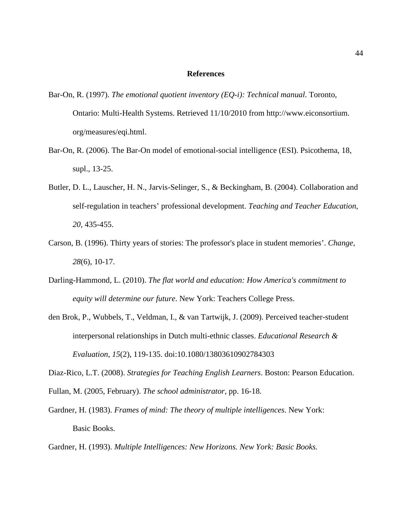#### **References**

- Bar-On, R. (1997). *The emotional quotient inventory (EQ-i): Technical manual*. Toronto, Ontario: Multi-Health Systems. Retrieved 11/10/2010 from [http://www.eiconsortium.](http://www.eiconsortium.org/measures/eqi.html) org/measures/eqi.html.
- Bar-On, R. (2006). The Bar-On model of emotional-social intelligence (ESI). Psicothema, 18, supl., 13-25.
- Butler, D. L., Lauscher, H. N., Jarvis-Selinger, S., & Beckingham, B. (2004). Collaboration and self-regulation in teachers' professional development. *Teaching and Teacher Education, 20*, 435-455.
- Carson, B. (1996). Thirty years of stories: The professor's place in student memories'. *Change, 28*(6), 10-17.
- Darling-Hammond, L. (2010). *The flat world and education: How America's commitment to equity will determine our future*. New York: Teachers College Press.
- den Brok, P., Wubbels, T., Veldman, I., & van Tartwijk, J. (2009). Perceived teacher-student interpersonal relationships in Dutch multi-ethnic classes. *Educational Research & Evaluation*, *15*(2), 119-135. doi:10.1080/13803610902784303

Diaz-Rico, L.T. (2008). *Strategies for Teaching English Learners*. Boston: Pearson Education.

Fullan, M. (2005, February). *The school administrator*, pp. 16-18.

Gardner, H. (1983). *Frames of mind: The theory of multiple intelligences*. New York: Basic Books.

Gardner, H. (1993). *Multiple Intelligences: New Horizons. New York: Basic Books.*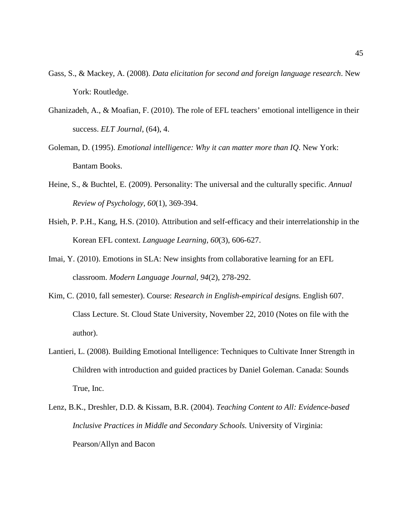- Gass, S., & Mackey, A. (2008). *Data elicitation for second and foreign language research*. New York: Routledge.
- Ghanizadeh, A., & Moafian, F. (2010). The role of EFL teachers' emotional intelligence in their success. *ELT Journal*, (64), 4.
- Goleman, D. (1995). *Emotional intelligence: Why it can matter more than IQ*. New York: Bantam Books.
- Heine, S., & Buchtel, E. (2009). Personality: The universal and the culturally specific. *Annual Review of Psychology, 60*(1), 369-394.
- Hsieh, P. P.H., Kang, H.S. (2010). Attribution and self-efficacy and their interrelationship in the Korean EFL context. *Language Learning, 60*(3), 606-627.
- Imai, Y. (2010). Emotions in SLA: New insights from collaborative learning for an EFL classroom. *Modern Language Journal, 94*(2), 278-292.
- Kim, C. (2010, fall semester). Course: *Research in English-empirical designs.* English 607. Class Lecture. St. Cloud State University, November 22, 2010 (Notes on file with the author).
- Lantieri, L. (2008). Building Emotional Intelligence: Techniques to Cultivate Inner Strength in Children with introduction and guided practices by Daniel Goleman. Canada: Sounds True, Inc.
- Lenz, B.K., Dreshler, D.D. & Kissam, B.R. (2004). *Teaching Content to All: Evidence-based Inclusive Practices in Middle and Secondary Schools.* University of Virginia: Pearson/Allyn and Bacon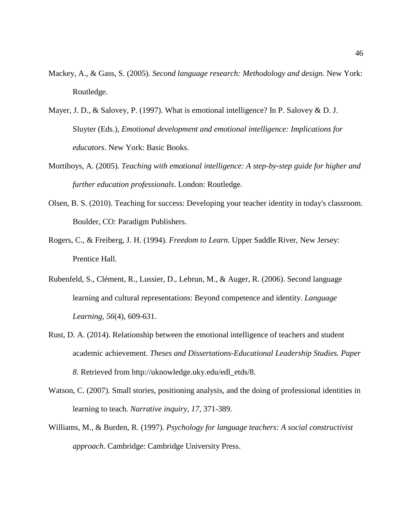- Mackey, A., & Gass, S. (2005). *Second language research: Methodology and design.* New York: Routledge.
- Mayer, J. D., & Salovey, P. (1997). What is emotional intelligence? In P. Salovey & D. J. Sluyter (Eds.), *Emotional development and emotional intelligence: Implications for educators*. New York: Basic Books.
- Mortiboys, A. (2005). *Teaching with emotional intelligence: A step-by-step guide for higher and further education professionals*. London: Routledge.
- Olsen, B. S. (2010). Teaching for success: Developing your teacher identity in today's classroom. Boulder, CO: Paradigm Publishers.
- Rogers, C., & Freiberg, J. H. (1994). *Freedom to Learn.* Upper Saddle River, New Jersey: Prentice Hall.
- Rubenfeld, S., Clément, R., Lussier, D., Lebrun, M., & Auger, R. (2006). Second language learning and cultural representations: Beyond competence and identity. *Language Learning, 56*(4), 609-631.
- Rust, D. A. (2014). Relationship between the emotional intelligence of teachers and student academic achievement. *Theses and Dissertations-Educational Leadership Studies. Paper 8*. Retrieved from http://uknowledge.uky.edu/edl\_etds/8.
- Watson, C. (2007). Small stories, positioning analysis, and the doing of professional identities in learning to teach. *Narrative inquiry*, *17*, 371-389.
- Williams, M., & Burden, R. (1997). *Psychology for language teachers: A social constructivist approach*. Cambridge: Cambridge University Press.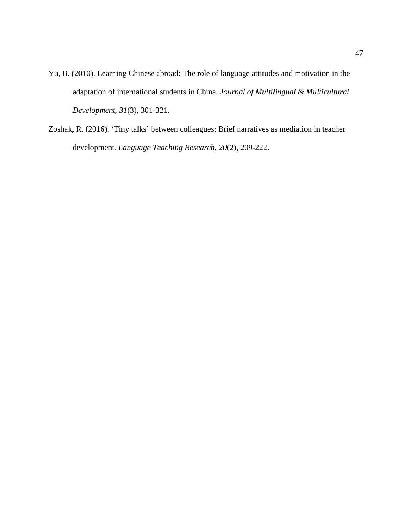- Yu, B. (2010). Learning Chinese abroad: The role of language attitudes and motivation in the adaptation of international students in China. *Journal of Multilingual & Multicultural Development, 31*(3), 301-321.
- Zoshak, R. (2016). 'Tiny talks' between colleagues: Brief narratives as mediation in teacher development. *Language Teaching Research, 20*(2), 209-222.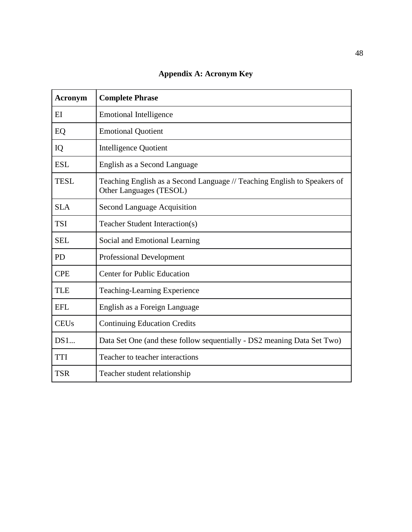**Appendix A: Acronym Key**

| <b>Acronym</b> | <b>Complete Phrase</b>                                                                              |
|----------------|-----------------------------------------------------------------------------------------------------|
| EI             | <b>Emotional Intelligence</b>                                                                       |
| EQ             | <b>Emotional Quotient</b>                                                                           |
| IQ             | <b>Intelligence Quotient</b>                                                                        |
| <b>ESL</b>     | English as a Second Language                                                                        |
| <b>TESL</b>    | Teaching English as a Second Language // Teaching English to Speakers of<br>Other Languages (TESOL) |
| <b>SLA</b>     | <b>Second Language Acquisition</b>                                                                  |
| <b>TSI</b>     | Teacher Student Interaction(s)                                                                      |
| <b>SEL</b>     | Social and Emotional Learning                                                                       |
| <b>PD</b>      | <b>Professional Development</b>                                                                     |
| <b>CPE</b>     | <b>Center for Public Education</b>                                                                  |
| <b>TLE</b>     | Teaching-Learning Experience                                                                        |
| <b>EFL</b>     | English as a Foreign Language                                                                       |
| <b>CEUs</b>    | <b>Continuing Education Credits</b>                                                                 |
| DS1            | Data Set One (and these follow sequentially - DS2 meaning Data Set Two)                             |
| <b>TTI</b>     | Teacher to teacher interactions                                                                     |
| <b>TSR</b>     | Teacher student relationship                                                                        |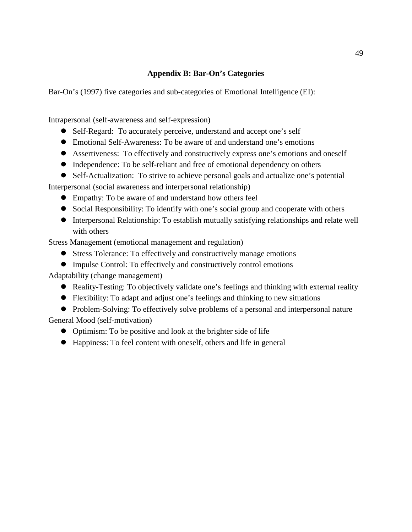### **Appendix B: Bar-On's Categories**

Bar-On's (1997) five categories and sub-categories of Emotional Intelligence (EI):

Intrapersonal (self-awareness and self-expression)

- Self-Regard: To accurately perceive, understand and accept one's self
- Emotional Self-Awareness: To be aware of and understand one's emotions
- Assertiveness: To effectively and constructively express one's emotions and oneself
- Independence: To be self-reliant and free of emotional dependency on others
- Self-Actualization: To strive to achieve personal goals and actualize one's potential

Interpersonal (social awareness and interpersonal relationship)

- Empathy: To be aware of and understand how others feel
- Social Responsibility: To identify with one's social group and cooperate with others
- Interpersonal Relationship: To establish mutually satisfying relationships and relate well with others

Stress Management (emotional management and regulation)

- Stress Tolerance: To effectively and constructively manage emotions
- Impulse Control: To effectively and constructively control emotions

Adaptability (change management)

- Reality-Testing: To objectively validate one's feelings and thinking with external reality
- Flexibility: To adapt and adjust one's feelings and thinking to new situations
- Problem-Solving: To effectively solve problems of a personal and interpersonal nature

General Mood (self-motivation)

- Optimism: To be positive and look at the brighter side of life
- Happiness: To feel content with oneself, others and life in general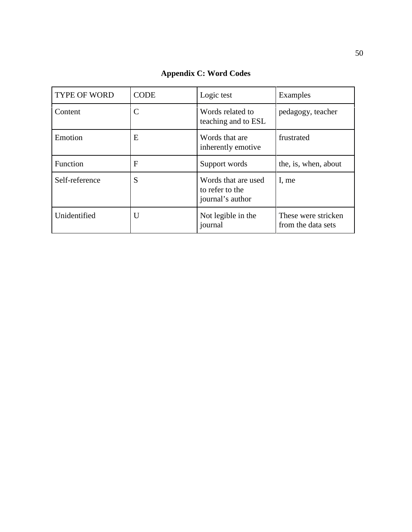| TYPE OF WORD   | <b>CODE</b>  | Logic test                                                 | Examples                                  |
|----------------|--------------|------------------------------------------------------------|-------------------------------------------|
| Content        |              | Words related to<br>teaching and to ESL                    | pedagogy, teacher                         |
| Emotion        | E            | Words that are<br>inherently emotive                       | frustrated                                |
| Function       | $\mathbf{F}$ | Support words                                              | the, is, when, about                      |
| Self-reference | S            | Words that are used<br>to refer to the<br>journal's author | I, me                                     |
| Unidentified   | U            | Not legible in the<br>journal                              | These were stricken<br>from the data sets |

**Appendix C: Word Codes**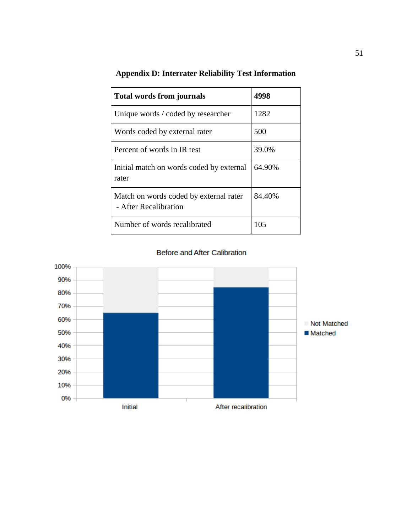| <b>Total words from journals</b>                                | 4998   |
|-----------------------------------------------------------------|--------|
| Unique words / coded by researcher                              | 1282   |
| Words coded by external rater                                   | 500    |
| Percent of words in IR test                                     | 39.0%  |
| Initial match on words coded by external<br>rater               | 64.90% |
| Match on words coded by external rater<br>- After Recalibration | 84.40% |
| Number of words recalibrated                                    | 105    |

# **Appendix D: Interrater Reliability Test Information**

**Before and After Calibration** 

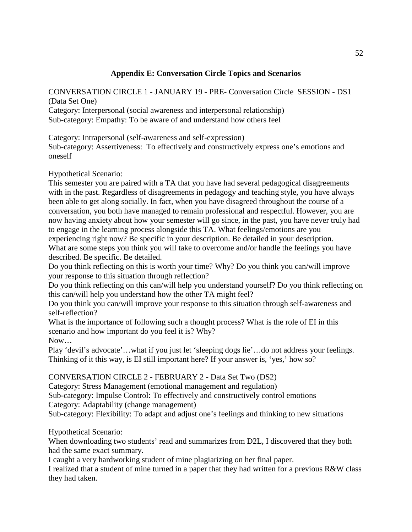# **Appendix E: Conversation Circle Topics and Scenarios**

CONVERSATION CIRCLE 1 - JANUARY 19 - PRE- Conversation Circle SESSION - DS1 (Data Set One) Category: Interpersonal (social awareness and interpersonal relationship) Sub-category: Empathy: To be aware of and understand how others feel

Category: Intrapersonal (self-awareness and self-expression)

Sub-category: Assertiveness: To effectively and constructively express one's emotions and oneself

Hypothetical Scenario:

This semester you are paired with a TA that you have had several pedagogical disagreements with in the past. Regardless of disagreements in pedagogy and teaching style, you have always been able to get along socially. In fact, when you have disagreed throughout the course of a conversation, you both have managed to remain professional and respectful. However, you are now having anxiety about how your semester will go since, in the past, you have never truly had to engage in the learning process alongside this TA. What feelings/emotions are you experiencing right now? Be specific in your description. Be detailed in your description. What are some steps you think you will take to overcome and/or handle the feelings you have described. Be specific. Be detailed.

Do you think reflecting on this is worth your time? Why? Do you think you can/will improve your response to this situation through reflection?

Do you think reflecting on this can/will help you understand yourself? Do you think reflecting on this can/will help you understand how the other TA might feel?

Do you think you can/will improve your response to this situation through self-awareness and self-reflection?

What is the importance of following such a thought process? What is the role of EI in this scenario and how important do you feel it is? Why?

Now…

Play 'devil's advocate'…what if you just let 'sleeping dogs lie'…do not address your feelings. Thinking of it this way, is EI still important here? If your answer is, 'yes,' how so?

#### CONVERSATION CIRCLE 2 - FEBRUARY 2 - Data Set Two (DS2)

Category: Stress Management (emotional management and regulation) Sub-category: Impulse Control: To effectively and constructively control emotions Category: Adaptability (change management) Sub-category: Flexibility: To adapt and adjust one's feelings and thinking to new situations

Hypothetical Scenario:

When downloading two students' read and summarizes from D2L, I discovered that they both had the same exact summary.

I caught a very hardworking student of mine plagiarizing on her final paper.

I realized that a student of mine turned in a paper that they had written for a previous R&W class they had taken.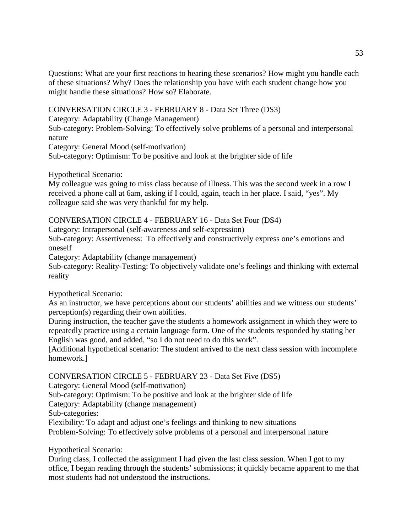Questions: What are your first reactions to hearing these scenarios? How might you handle each of these situations? Why? Does the relationship you have with each student change how you might handle these situations? How so? Elaborate.

CONVERSATION CIRCLE 3 - FEBRUARY 8 - Data Set Three (DS3)

Category: Adaptability (Change Management)

Sub-category: Problem-Solving: To effectively solve problems of a personal and interpersonal nature

Category: General Mood (self-motivation)

Sub-category: Optimism: To be positive and look at the brighter side of life

Hypothetical Scenario:

My colleague was going to miss class because of illness. This was the second week in a row I received a phone call at 6am, asking if I could, again, teach in her place. I said, "yes". My colleague said she was very thankful for my help.

CONVERSATION CIRCLE 4 - FEBRUARY 16 - Data Set Four (DS4)

Category: Intrapersonal (self-awareness and self-expression)

Sub-category: Assertiveness: To effectively and constructively express one's emotions and oneself

Category: Adaptability (change management)

Sub-category: Reality-Testing: To objectively validate one's feelings and thinking with external reality

Hypothetical Scenario:

As an instructor, we have perceptions about our students' abilities and we witness our students' perception(s) regarding their own abilities.

During instruction, the teacher gave the students a homework assignment in which they were to repeatedly practice using a certain language form. One of the students responded by stating her English was good, and added, "so I do not need to do this work".

[Additional hypothetical scenario: The student arrived to the next class session with incomplete homework.]

CONVERSATION CIRCLE 5 - FEBRUARY 23 - Data Set Five (DS5)

Category: General Mood (self-motivation)

Sub-category: Optimism: To be positive and look at the brighter side of life

Category: Adaptability (change management)

Sub-categories:

Flexibility: To adapt and adjust one's feelings and thinking to new situations Problem-Solving: To effectively solve problems of a personal and interpersonal nature

Hypothetical Scenario:

During class, I collected the assignment I had given the last class session. When I got to my office, I began reading through the students' submissions; it quickly became apparent to me that most students had not understood the instructions.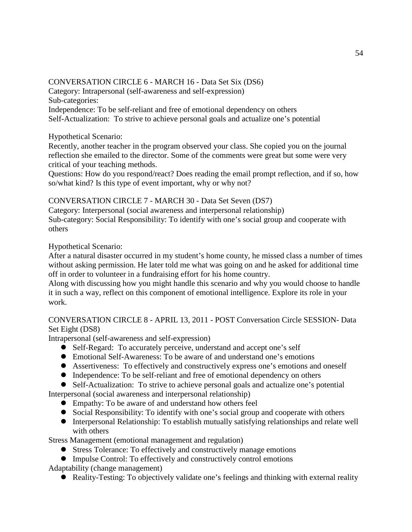# CONVERSATION CIRCLE 6 - MARCH 16 - Data Set Six (DS6)

Category: Intrapersonal (self-awareness and self-expression)

Sub-categories:

Independence: To be self-reliant and free of emotional dependency on others Self-Actualization: To strive to achieve personal goals and actualize one's potential

# Hypothetical Scenario:

Recently, another teacher in the program observed your class. She copied you on the journal reflection she emailed to the director. Some of the comments were great but some were very critical of your teaching methods.

Questions: How do you respond/react? Does reading the email prompt reflection, and if so, how so/what kind? Is this type of event important, why or why not?

# CONVERSATION CIRCLE 7 - MARCH 30 - Data Set Seven (DS7)

Category: Interpersonal (social awareness and interpersonal relationship) Sub-category: Social Responsibility: To identify with one's social group and cooperate with others

# Hypothetical Scenario:

After a natural disaster occurred in my student's home county, he missed class a number of times without asking permission. He later told me what was going on and he asked for additional time off in order to volunteer in a fundraising effort for his home country.

Along with discussing how you might handle this scenario and why you would choose to handle it in such a way, reflect on this component of emotional intelligence. Explore its role in your work.

# CONVERSATION CIRCLE 8 - APRIL 13, 2011 - POST Conversation Circle SESSION- Data Set Eight (DS8)

Intrapersonal (self-awareness and self-expression)

- Self-Regard: To accurately perceive, understand and accept one's self
- Emotional Self-Awareness: To be aware of and understand one's emotions
- Assertiveness: To effectively and constructively express one's emotions and oneself
- Independence: To be self-reliant and free of emotional dependency on others
- Self-Actualization: To strive to achieve personal goals and actualize one's potential Interpersonal (social awareness and interpersonal relationship)
	- Empathy: To be aware of and understand how others feel
	- Social Responsibility: To identify with one's social group and cooperate with others
	- Interpersonal Relationship: To establish mutually satisfying relationships and relate well with others

Stress Management (emotional management and regulation)

- Stress Tolerance: To effectively and constructively manage emotions
- Impulse Control: To effectively and constructively control emotions Adaptability (change management)
	- Reality-Testing: To objectively validate one's feelings and thinking with external reality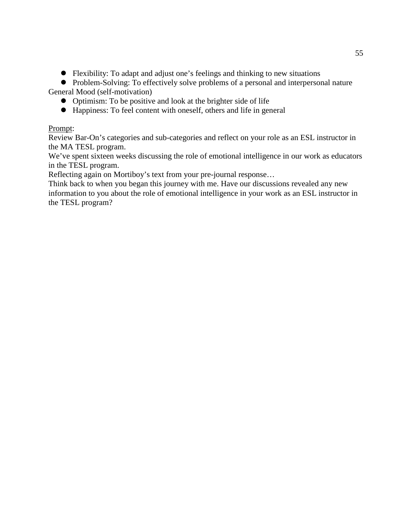- Flexibility: To adapt and adjust one's feelings and thinking to new situations
- Problem-Solving: To effectively solve problems of a personal and interpersonal nature General Mood (self-motivation)
	- Optimism: To be positive and look at the brighter side of life
	- Happiness: To feel content with oneself, others and life in general

### Prompt:

Review Bar-On's categories and sub-categories and reflect on your role as an ESL instructor in the MA TESL program.

We've spent sixteen weeks discussing the role of emotional intelligence in our work as educators in the TESL program.

Reflecting again on Mortiboy's text from your pre-journal response…

Think back to when you began this journey with me. Have our discussions revealed any new information to you about the role of emotional intelligence in your work as an ESL instructor in the TESL program?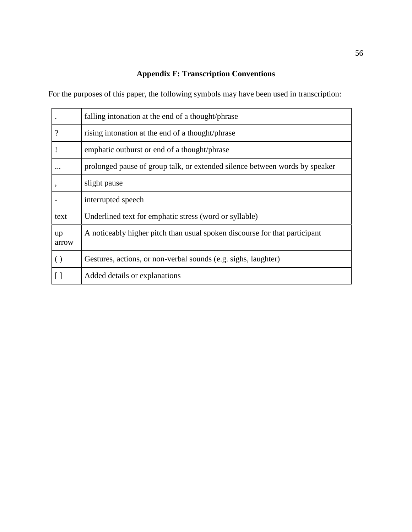# **Appendix F: Transcription Conventions**

For the purposes of this paper, the following symbols may have been used in transcription:

|                    | falling intonation at the end of a thought/phrase                           |
|--------------------|-----------------------------------------------------------------------------|
| $\overline{\cdot}$ | rising intonation at the end of a thought/phrase                            |
|                    | emphatic outburst or end of a thought/phrase                                |
|                    | prolonged pause of group talk, or extended silence between words by speaker |
|                    | slight pause                                                                |
|                    | interrupted speech                                                          |
| text               | Underlined text for emphatic stress (word or syllable)                      |
| up<br>arrow        | A noticeably higher pitch than usual spoken discourse for that participant  |
| $\left( \right)$   | Gestures, actions, or non-verbal sounds (e.g. sighs, laughter)              |
|                    | Added details or explanations                                               |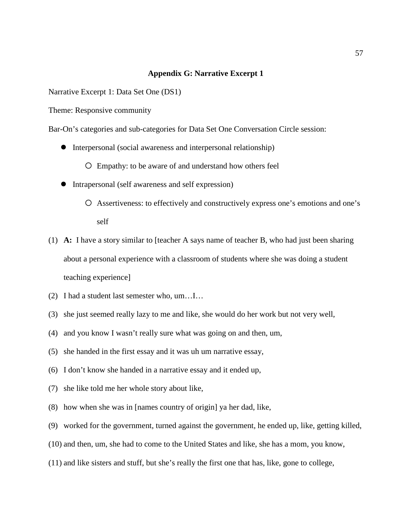#### **Appendix G: Narrative Excerpt 1**

Narrative Excerpt 1: Data Set One (DS1)

Theme: Responsive community

Bar-On's categories and sub-categories for Data Set One Conversation Circle session:

Interpersonal (social awareness and interpersonal relationship)

Empathy: to be aware of and understand how others feel

- Intrapersonal (self awareness and self expression)
	- Assertiveness: to effectively and constructively express one's emotions and one's self
- (1) **A:** I have a story similar to [teacher A says name of teacher B, who had just been sharing about a personal experience with a classroom of students where she was doing a student teaching experience]
- (2) I had a student last semester who, um…I…
- (3) she just seemed really lazy to me and like, she would do her work but not very well,
- (4) and you know I wasn't really sure what was going on and then, um,
- (5) she handed in the first essay and it was uh um narrative essay,
- (6) I don't know she handed in a narrative essay and it ended up,
- (7) she like told me her whole story about like,
- (8) how when she was in [names country of origin] ya her dad, like,
- (9) worked for the government, turned against the government, he ended up, like, getting killed,
- (10) and then, um, she had to come to the United States and like, she has a mom, you know,
- (11) and like sisters and stuff, but she's really the first one that has, like, gone to college,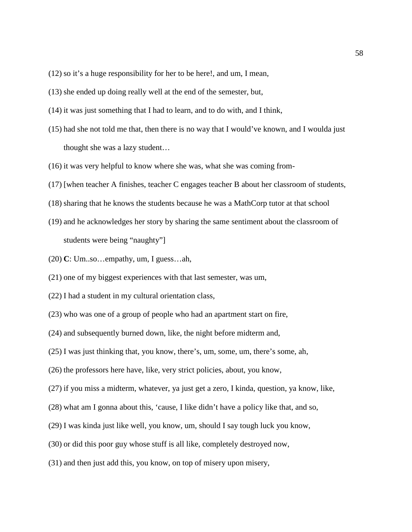- (12) so it's a huge responsibility for her to be here!, and um, I mean,
- (13) she ended up doing really well at the end of the semester, but,
- (14) it was just something that I had to learn, and to do with, and I think,
- (15) had she not told me that, then there is no way that I would've known, and I woulda just thought she was a lazy student…
- (16) it was very helpful to know where she was, what she was coming from-
- (17) [when teacher A finishes, teacher C engages teacher B about her classroom of students,
- (18) sharing that he knows the students because he was a MathCorp tutor at that school
- (19) and he acknowledges her story by sharing the same sentiment about the classroom of students were being "naughty"]
- (20) **C**: Um..so…empathy, um, I guess…ah,
- (21) one of my biggest experiences with that last semester, was um,
- (22) I had a student in my cultural orientation class,
- (23) who was one of a group of people who had an apartment start on fire,
- (24) and subsequently burned down, like, the night before midterm and,
- (25) I was just thinking that, you know, there's, um, some, um, there's some, ah,
- (26) the professors here have, like, very strict policies, about, you know,
- (27) if you miss a midterm, whatever, ya just get a zero, I kinda, question, ya know, like,
- (28) what am I gonna about this, 'cause, I like didn't have a policy like that, and so,
- (29) I was kinda just like well, you know, um, should I say tough luck you know,
- (30) or did this poor guy whose stuff is all like, completely destroyed now,
- (31) and then just add this, you know, on top of misery upon misery,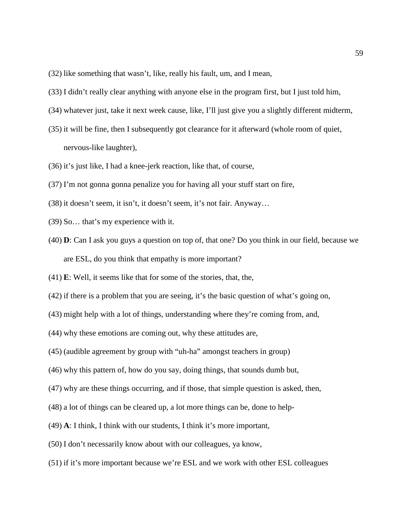- (32) like something that wasn't, like, really his fault, um, and I mean,
- (33) I didn't really clear anything with anyone else in the program first, but I just told him,
- (34) whatever just, take it next week cause, like, I'll just give you a slightly different midterm,
- (35) it will be fine, then I subsequently got clearance for it afterward (whole room of quiet, nervous-like laughter),
- (36) it's just like, I had a knee-jerk reaction, like that, of course,
- (37) I'm not gonna gonna penalize you for having all your stuff start on fire,
- (38) it doesn't seem, it isn't, it doesn't seem, it's not fair. Anyway…
- (39) So… that's my experience with it.
- (40) **D**: Can I ask you guys a question on top of, that one? Do you think in our field, because we are ESL, do you think that empathy is more important?
- (41) **E**: Well, it seems like that for some of the stories, that, the,
- (42) if there is a problem that you are seeing, it's the basic question of what's going on,
- (43) might help with a lot of things, understanding where they're coming from, and,
- (44) why these emotions are coming out, why these attitudes are,
- (45) (audible agreement by group with "uh-ha" amongst teachers in group)
- (46) why this pattern of, how do you say, doing things, that sounds dumb but,
- (47) why are these things occurring, and if those, that simple question is asked, then,
- (48) a lot of things can be cleared up, a lot more things can be, done to help-
- (49) **A**: I think, I think with our students, I think it's more important,
- (50) I don't necessarily know about with our colleagues, ya know,
- (51) if it's more important because we're ESL and we work with other ESL colleagues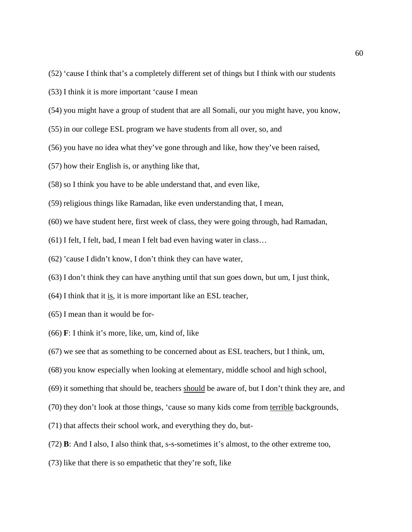- (52) 'cause I think that's a completely different set of things but I think with our students
- (53) I think it is more important 'cause I mean
- (54) you might have a group of student that are all Somali, our you might have, you know,
- (55) in our college ESL program we have students from all over, so, and
- (56) you have no idea what they've gone through and like, how they've been raised,
- (57) how their English is, or anything like that,
- (58) so I think you have to be able understand that, and even like,
- (59) religious things like Ramadan, like even understanding that, I mean,
- (60) we have student here, first week of class, they were going through, had Ramadan,
- (61) I felt, I felt, bad, I mean I felt bad even having water in class…
- (62) 'cause I didn't know, I don't think they can have water,
- (63) I don't think they can have anything until that sun goes down, but um, I just think,
- (64) I think that it is, it is more important like an ESL teacher,
- (65) I mean than it would be for-
- (66) **F**: I think it's more, like, um, kind of, like
- (67) we see that as something to be concerned about as ESL teachers, but I think, um,
- (68) you know especially when looking at elementary, middle school and high school,
- (69) it something that should be, teachers should be aware of, but I don't think they are, and
- (70) they don't look at those things, 'cause so many kids come from terrible backgrounds,
- (71) that affects their school work, and everything they do, but-
- (72) **B**: And I also, I also think that, s-s-sometimes it's almost, to the other extreme too,
- (73) like that there is so empathetic that they're soft, like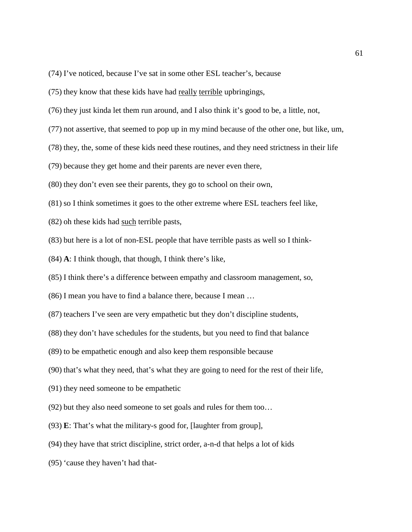- (74) I've noticed, because I've sat in some other ESL teacher's, because
- (75) they know that these kids have had really terrible upbringings,
- (76) they just kinda let them run around, and I also think it's good to be, a little, not,
- (77) not assertive, that seemed to pop up in my mind because of the other one, but like, um,
- (78) they, the, some of these kids need these routines, and they need strictness in their life
- (79) because they get home and their parents are never even there,
- (80) they don't even see their parents, they go to school on their own,
- (81) so I think sometimes it goes to the other extreme where ESL teachers feel like,
- (82) oh these kids had such terrible pasts,
- (83) but here is a lot of non-ESL people that have terrible pasts as well so I think-
- (84) **A**: I think though, that though, I think there's like,
- (85) I think there's a difference between empathy and classroom management, so,
- (86) I mean you have to find a balance there, because I mean …
- (87) teachers I've seen are very empathetic but they don't discipline students,
- (88) they don't have schedules for the students, but you need to find that balance
- (89) to be empathetic enough and also keep them responsible because
- (90) that's what they need, that's what they are going to need for the rest of their life,
- (91) they need someone to be empathetic
- (92) but they also need someone to set goals and rules for them too…
- (93) **E**: That's what the military-s good for, [laughter from group],
- (94) they have that strict discipline, strict order, a-n-d that helps a lot of kids
- (95) 'cause they haven't had that-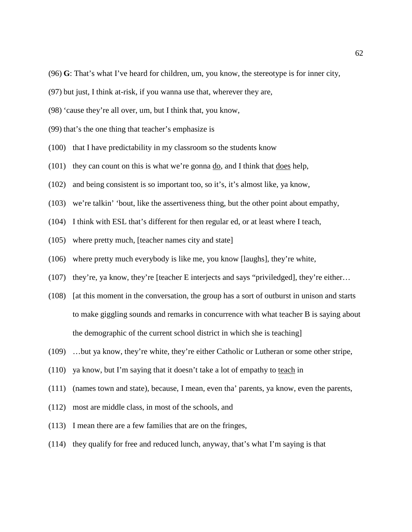- (96) **G**: That's what I've heard for children, um, you know, the stereotype is for inner city,
- (97) but just, I think at-risk, if you wanna use that, wherever they are,
- (98) 'cause they're all over, um, but I think that, you know,
- (99) that's the one thing that teacher's emphasize is
- (100) that I have predictability in my classroom so the students know
- (101) they can count on this is what we're gonna do, and I think that does help,
- (102) and being consistent is so important too, so it's, it's almost like, ya know,
- (103) we're talkin' 'bout, like the assertiveness thing, but the other point about empathy,
- (104) I think with ESL that's different for then regular ed, or at least where I teach,
- (105) where pretty much, [teacher names city and state]
- (106) where pretty much everybody is like me, you know [laughs], they're white,
- (107) they're, ya know, they're [teacher E interjects and says "priviledged], they're either…
- (108) [at this moment in the conversation, the group has a sort of outburst in unison and starts to make giggling sounds and remarks in concurrence with what teacher B is saying about the demographic of the current school district in which she is teaching]
- (109) …but ya know, they're white, they're either Catholic or Lutheran or some other stripe,
- (110) ya know, but I'm saying that it doesn't take a lot of empathy to teach in
- (111) (names town and state), because, I mean, even tha' parents, ya know, even the parents,
- (112) most are middle class, in most of the schools, and
- (113) I mean there are a few families that are on the fringes,
- (114) they qualify for free and reduced lunch, anyway, that's what I'm saying is that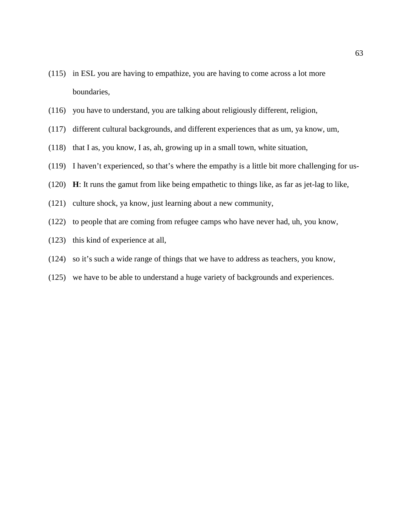- (115) in ESL you are having to empathize, you are having to come across a lot more boundaries,
- (116) you have to understand, you are talking about religiously different, religion,
- (117) different cultural backgrounds, and different experiences that as um, ya know, um,
- (118) that I as, you know, I as, ah, growing up in a small town, white situation,
- (119) I haven't experienced, so that's where the empathy is a little bit more challenging for us-
- (120) **H**: It runs the gamut from like being empathetic to things like, as far as jet-lag to like,
- (121) culture shock, ya know, just learning about a new community,
- (122) to people that are coming from refugee camps who have never had, uh, you know,
- (123) this kind of experience at all,
- (124) so it's such a wide range of things that we have to address as teachers, you know,
- (125) we have to be able to understand a huge variety of backgrounds and experiences.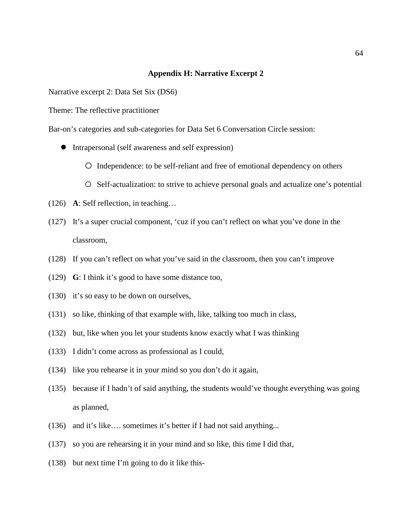#### **Appendix H: Narrative Excerpt 2**

Narrative excerpt 2: Data Set Six (DS6)

Theme: The reflective practitioner

Bar-on's categories and sub-categories for Data Set 6 Conversation Circle session:

- Intrapersonal (self awareness and self expression)
	- Independence: to be self-reliant and free of emotional dependency on others
	- O Self-actualization: to strive to achieve personal goals and actualize one's potential
- (126) **A**: Self reflection, in teaching…
- (127) It's a super crucial component, 'cuz if you can't reflect on what you've done in the classroom,
- (128) If you can't reflect on what you've said in the classroom, then you can't improve
- (129) **G**: I think it's good to have some distance too,
- (130) it's so easy to be down on ourselves,
- (131) so like, thinking of that example with, like, talking too much in class,
- (132) but, like when you let your students know exactly what I was thinking
- (133) I didn't come across as professional as I could,
- (134) like you rehearse it in your mind so you don't do it again,
- (135) because if I hadn't of said anything, the students would've thought everything was going as planned,
- (136) and it's like…. sometimes it's better if I had not said anything...
- (137) so you are rehearsing it in your mind and so like, this time I did that,
- (138) but next time I'm going to do it like this-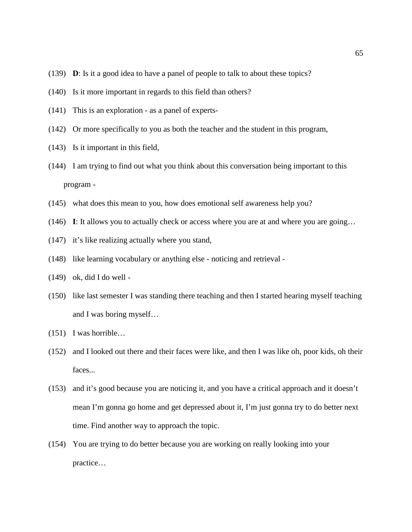- (139) **D**: Is it a good idea to have a panel of people to talk to about these topics?
- (140) Is it more important in regards to this field than others?
- (141) This is an exploration as a panel of experts-
- (142) Or more specifically to you as both the teacher and the student in this program,
- (143) Is it important in this field,
- (144) I am trying to find out what you think about this conversation being important to this program -
- (145) what does this mean to you, how does emotional self awareness help you?
- (146) **I**: It allows you to actually check or access where you are at and where you are going…
- (147) it's like realizing actually where you stand,
- (148) like learning vocabulary or anything else noticing and retrieval -
- (149) ok, did I do well -
- (150) like last semester I was standing there teaching and then I started hearing myself teaching and I was boring myself…
- (151) I was horrible…
- (152) and I looked out there and their faces were like, and then I was like oh, poor kids, oh their faces...
- (153) and it's good because you are noticing it, and you have a critical approach and it doesn't mean I'm gonna go home and get depressed about it, I'm just gonna try to do better next time. Find another way to approach the topic.
- (154) You are trying to do better because you are working on really looking into your practice…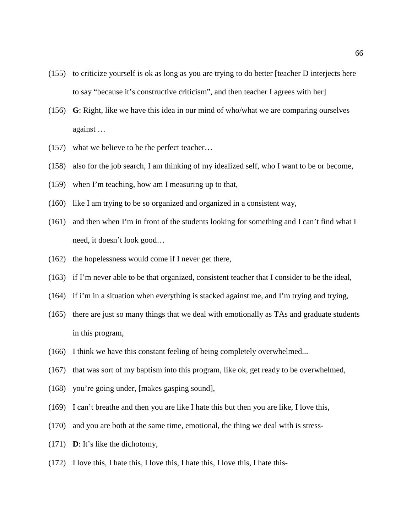- (155) to criticize yourself is ok as long as you are trying to do better [teacher D interjects here to say "because it's constructive criticism", and then teacher I agrees with her]
- (156) **G**: Right, like we have this idea in our mind of who/what we are comparing ourselves against …
- (157) what we believe to be the perfect teacher…
- (158) also for the job search, I am thinking of my idealized self, who I want to be or become,
- (159) when I'm teaching, how am I measuring up to that,
- (160) like I am trying to be so organized and organized in a consistent way,
- (161) and then when I'm in front of the students looking for something and I can't find what I need, it doesn't look good…
- (162) the hopelessness would come if I never get there,
- (163) if I'm never able to be that organized, consistent teacher that I consider to be the ideal,
- (164) if i'm in a situation when everything is stacked against me, and I'm trying and trying,
- (165) there are just so many things that we deal with emotionally as TAs and graduate students in this program,
- (166) I think we have this constant feeling of being completely overwhelmed...
- (167) that was sort of my baptism into this program, like ok, get ready to be overwhelmed,
- (168) you're going under, [makes gasping sound],
- (169) I can't breathe and then you are like I hate this but then you are like, I love this,
- (170) and you are both at the same time, emotional, the thing we deal with is stress-
- (171) **D**: It's like the dichotomy,
- (172) I love this, I hate this, I love this, I hate this, I love this, I hate this-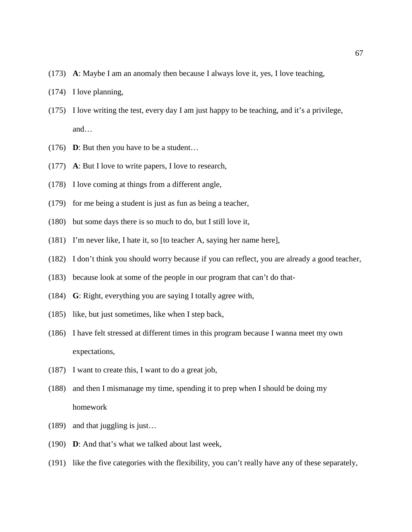- (173) **A**: Maybe I am an anomaly then because I always love it, yes, I love teaching,
- (174) I love planning,
- (175) I love writing the test, every day I am just happy to be teaching, and it's a privilege, and…
- (176) **D**: But then you have to be a student…
- (177) **A**: But I love to write papers, I love to research,
- (178) I love coming at things from a different angle,
- (179) for me being a student is just as fun as being a teacher,
- (180) but some days there is so much to do, but I still love it,
- (181) I'm never like, I hate it, so [to teacher A, saying her name here],
- (182) I don't think you should worry because if you can reflect, you are already a good teacher,
- (183) because look at some of the people in our program that can't do that-
- (184) **G**: Right, everything you are saying I totally agree with,
- (185) like, but just sometimes, like when I step back,
- (186) I have felt stressed at different times in this program because I wanna meet my own expectations,
- (187) I want to create this, I want to do a great job,
- (188) and then I mismanage my time, spending it to prep when I should be doing my homework
- (189) and that juggling is just…
- (190) **D**: And that's what we talked about last week,
- (191) like the five categories with the flexibility, you can't really have any of these separately,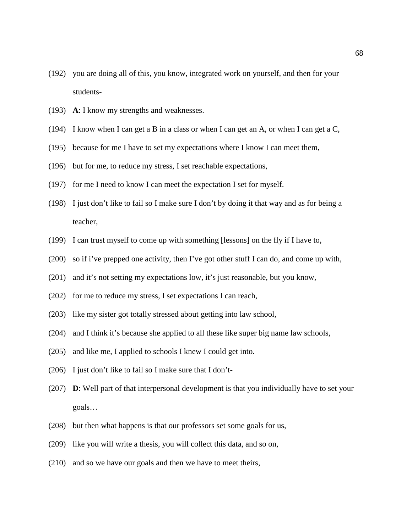- (192) you are doing all of this, you know, integrated work on yourself, and then for your students-
- (193) **A**: I know my strengths and weaknesses.
- (194) I know when I can get a B in a class or when I can get an A, or when I can get a C,
- (195) because for me I have to set my expectations where I know I can meet them,
- (196) but for me, to reduce my stress, I set reachable expectations,
- (197) for me I need to know I can meet the expectation I set for myself.
- (198) I just don't like to fail so I make sure I don't by doing it that way and as for being a teacher,
- (199) I can trust myself to come up with something [lessons] on the fly if I have to,
- (200) so if i've prepped one activity, then I've got other stuff I can do, and come up with,
- (201) and it's not setting my expectations low, it's just reasonable, but you know,
- (202) for me to reduce my stress, I set expectations I can reach,
- (203) like my sister got totally stressed about getting into law school,
- (204) and I think it's because she applied to all these like super big name law schools,
- (205) and like me, I applied to schools I knew I could get into.
- (206) I just don't like to fail so I make sure that I don't-
- (207) **D**: Well part of that interpersonal development is that you individually have to set your goals…
- (208) but then what happens is that our professors set some goals for us,
- (209) like you will write a thesis, you will collect this data, and so on,
- (210) and so we have our goals and then we have to meet theirs,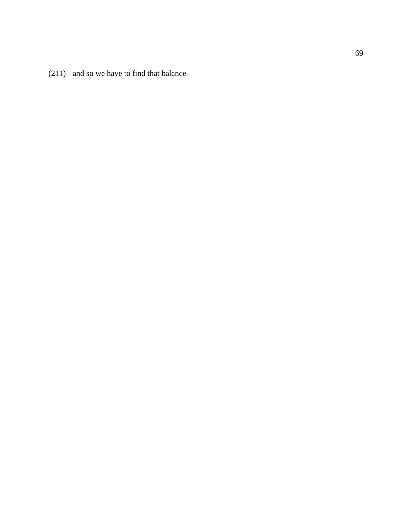(211) and so we have to find that balance -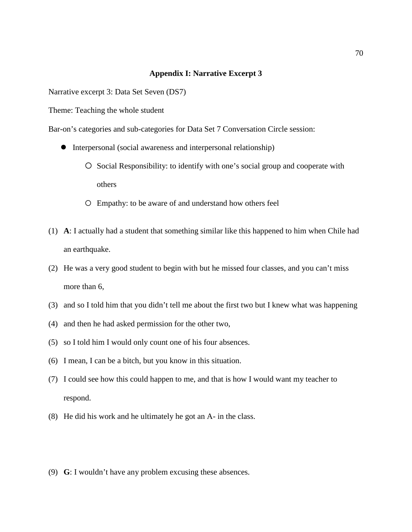#### **Appendix I: Narrative Excerpt 3**

Narrative excerpt 3: Data Set Seven (DS7)

Theme: Teaching the whole student

Bar-on's categories and sub-categories for Data Set 7 Conversation Circle session:

- Interpersonal (social awareness and interpersonal relationship)
	- O Social Responsibility: to identify with one's social group and cooperate with others
	- Empathy: to be aware of and understand how others feel
- (1) **A**: I actually had a student that something similar like this happened to him when Chile had an earthquake.
- (2) He was a very good student to begin with but he missed four classes, and you can't miss more than 6,
- (3) and so I told him that you didn't tell me about the first two but I knew what was happening
- (4) and then he had asked permission for the other two,
- (5) so I told him I would only count one of his four absences.
- (6) I mean, I can be a bitch, but you know in this situation.
- (7) I could see how this could happen to me, and that is how I would want my teacher to respond.
- (8) He did his work and he ultimately he got an A- in the class.
- (9) **G**: I wouldn't have any problem excusing these absences.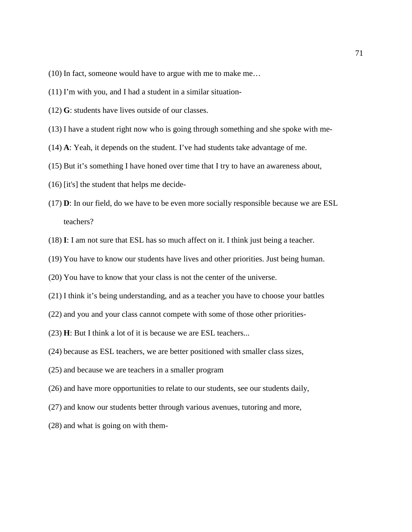- (10) In fact, someone would have to argue with me to make me…
- (11) I'm with you, and I had a student in a similar situation-
- (12) **G**: students have lives outside of our classes.
- (13) I have a student right now who is going through something and she spoke with me-
- (14) **A**: Yeah, it depends on the student. I've had students take advantage of me.
- (15) But it's something I have honed over time that I try to have an awareness about,
- (16) [it's] the student that helps me decide-
- (17) **D**: In our field, do we have to be even more socially responsible because we are ESL teachers?
- (18) **I**: I am not sure that ESL has so much affect on it. I think just being a teacher.
- (19) You have to know our students have lives and other priorities. Just being human.
- (20) You have to know that your class is not the center of the universe.
- (21) I think it's being understanding, and as a teacher you have to choose your battles
- (22) and you and your class cannot compete with some of those other priorities-
- (23) **H**: But I think a lot of it is because we are ESL teachers...
- (24) because as ESL teachers, we are better positioned with smaller class sizes,
- (25) and because we are teachers in a smaller program
- (26) and have more opportunities to relate to our students, see our students daily,
- (27) and know our students better through various avenues, tutoring and more,
- (28) and what is going on with them-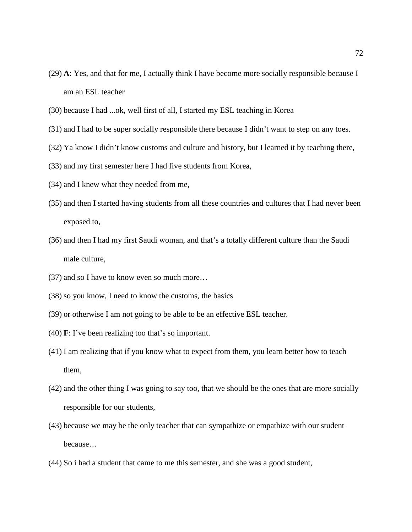- (29) **A**: Yes, and that for me, I actually think I have become more socially responsible because I am an ESL teacher
- (30) because I had ...ok, well first of all, I started my ESL teaching in Korea
- (31) and I had to be super socially responsible there because I didn't want to step on any toes.
- (32) Ya know I didn't know customs and culture and history, but I learned it by teaching there,
- (33) and my first semester here I had five students from Korea,
- (34) and I knew what they needed from me,
- (35) and then I started having students from all these countries and cultures that I had never been exposed to,
- (36) and then I had my first Saudi woman, and that's a totally different culture than the Saudi male culture,
- (37) and so I have to know even so much more…
- (38) so you know, I need to know the customs, the basics
- (39) or otherwise I am not going to be able to be an effective ESL teacher.
- (40) **F**: I've been realizing too that's so important.
- (41) I am realizing that if you know what to expect from them, you learn better how to teach them,
- (42) and the other thing I was going to say too, that we should be the ones that are more socially responsible for our students,
- (43) because we may be the only teacher that can sympathize or empathize with our student because…
- (44) So i had a student that came to me this semester, and she was a good student,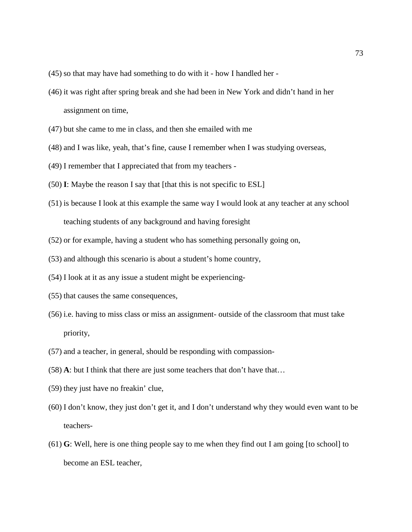- (45) so that may have had something to do with it how I handled her -
- (46) it was right after spring break and she had been in New York and didn't hand in her assignment on time,
- (47) but she came to me in class, and then she emailed with me
- (48) and I was like, yeah, that's fine, cause I remember when I was studying overseas,
- (49) I remember that I appreciated that from my teachers -
- (50) **I**: Maybe the reason I say that [that this is not specific to ESL]
- (51) is because I look at this example the same way I would look at any teacher at any school teaching students of any background and having foresight
- (52) or for example, having a student who has something personally going on,
- (53) and although this scenario is about a student's home country,
- (54) I look at it as any issue a student might be experiencing-
- (55) that causes the same consequences,
- (56) i.e. having to miss class or miss an assignment- outside of the classroom that must take priority,
- (57) and a teacher, in general, should be responding with compassion-
- (58) **A**: but I think that there are just some teachers that don't have that…
- (59) they just have no freakin' clue,
- (60) I don't know, they just don't get it, and I don't understand why they would even want to be teachers-
- (61) **G**: Well, here is one thing people say to me when they find out I am going [to school] to become an ESL teacher,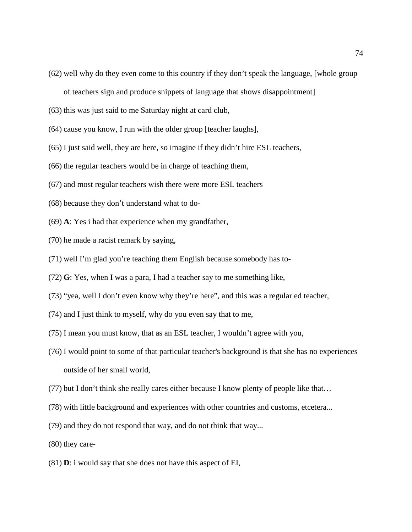- (62) well why do they even come to this country if they don't speak the language, [whole group of teachers sign and produce snippets of language that shows disappointment]
- (63) this was just said to me Saturday night at card club,
- (64) cause you know, I run with the older group [teacher laughs],
- (65) I just said well, they are here, so imagine if they didn't hire ESL teachers,
- (66) the regular teachers would be in charge of teaching them,
- (67) and most regular teachers wish there were more ESL teachers
- (68) because they don't understand what to do-
- (69) **A**: Yes i had that experience when my grandfather,
- (70) he made a racist remark by saying,
- (71) well I'm glad you're teaching them English because somebody has to-
- (72) **G**: Yes, when I was a para, I had a teacher say to me something like,
- (73) "yea, well I don't even know why they're here", and this was a regular ed teacher,
- (74) and I just think to myself, why do you even say that to me,
- (75) I mean you must know, that as an ESL teacher, I wouldn't agree with you,
- (76) I would point to some of that particular teacher's background is that she has no experiences outside of her small world,
- (77) but I don't think she really cares either because I know plenty of people like that…
- (78) with little background and experiences with other countries and customs, etcetera...
- (79) and they do not respond that way, and do not think that way...
- (80) they care-
- (81) **D**: i would say that she does not have this aspect of EI,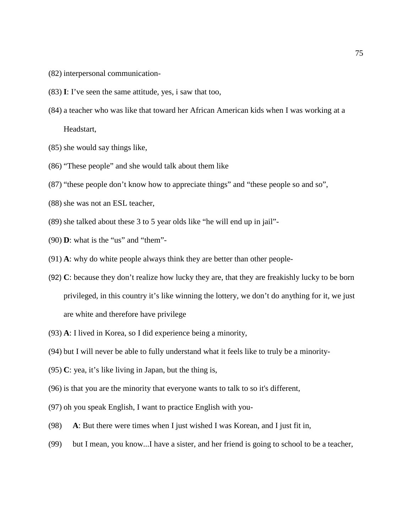- (82) interpersonal communication-
- (83) **I**: I've seen the same attitude, yes, i saw that too,
- (84) a teacher who was like that toward her African American kids when I was working at a Headstart,
- (85) she would say things like,
- (86) "These people" and she would talk about them like
- (87) "these people don't know how to appreciate things" and "these people so and so",
- (88) she was not an ESL teacher,
- (89) she talked about these 3 to 5 year olds like "he will end up in jail"-
- (90) **D**: what is the "us" and "them"-
- (91) **A**: why do white people always think they are better than other people-
- (92) **C**: because they don't realize how lucky they are, that they are freakishly lucky to be born privileged, in this country it's like winning the lottery, we don't do anything for it, we just are white and therefore have privilege
- (93) **A**: I lived in Korea, so I did experience being a minority,
- (94) but I will never be able to fully understand what it feels like to truly be a minority-
- (95) **C**: yea, it's like living in Japan, but the thing is,
- (96) is that you are the minority that everyone wants to talk to so it's different,
- (97) oh you speak English, I want to practice English with you-
- (98) **A**: But there were times when I just wished I was Korean, and I just fit in,
- (99) but I mean, you know...I have a sister, and her friend is going to school to be a teacher,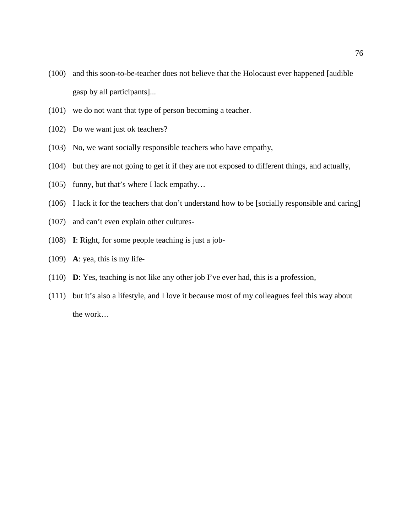- (100) and this soon-to-be-teacher does not believe that the Holocaust ever happened [audible gasp by all participants]...
- (101) we do not want that type of person becoming a teacher.
- (102) Do we want just ok teachers?
- (103) No, we want socially responsible teachers who have empathy,
- (104) but they are not going to get it if they are not exposed to different things, and actually,
- (105) funny, but that's where I lack empathy…
- (106) I lack it for the teachers that don't understand how to be [socially responsible and caring]
- (107) and can't even explain other cultures-
- (108) **I**: Right, for some people teaching is just a job-
- (109) **A**: yea, this is my life-
- (110) **D**: Yes, teaching is not like any other job I've ever had, this is a profession,
- (111) but it's also a lifestyle, and I love it because most of my colleagues feel this way about the work…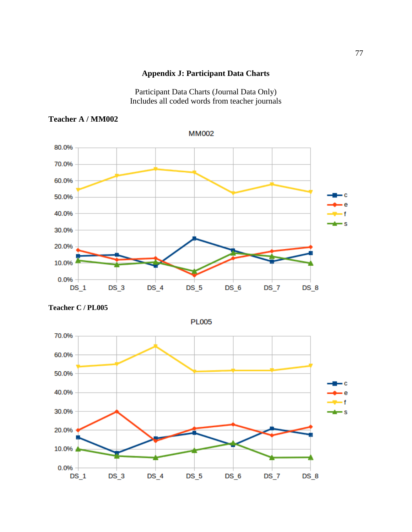#### **Appendix J: Participant Data Charts**

Participant Data Charts (Journal Data Only) Includes all coded words from teacher journals

**MM002** 

## **Teacher A / MM002**

80.0% 70.0% 60.0% ٠c 50.0% e 40.0% ۰s 30.0% 20.0% 10.0% 0.0%  $DS_1$  $DS_3$  $DS_4$  $DS_5$  $DS_6$  $DS_7$  $DS_8$ 





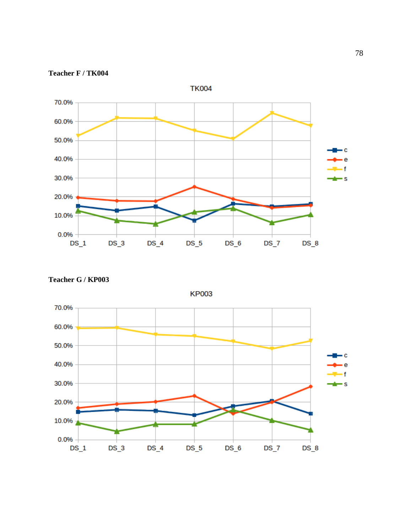

**Teacher F / TK004**

**Teacher G / KP003**



**KP003**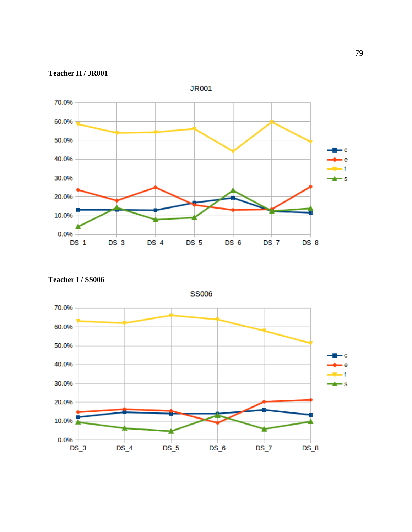



**Teacher I / SS006**

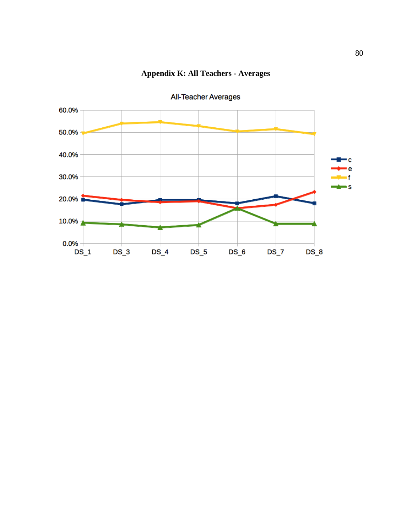

# **Appendix K: All Teachers - Averages**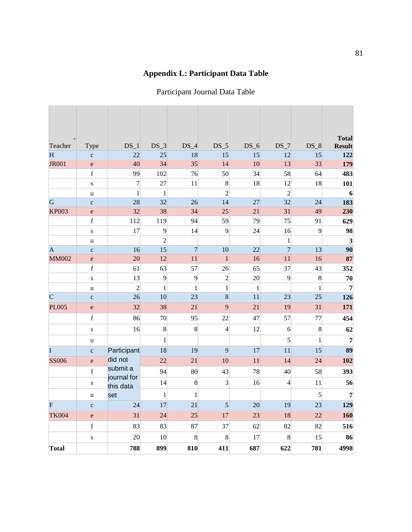# **Appendix L: Participant Data Table**

## Participant Journal Data Table

| Teacher        | Type                                                                                                                                                                                                                                                                                                                                                                                                                           | $DS_1$                   | $DS_3$           | $DS_4$           | $DS_5$         | $DS_6$      | $DS_7$         | $DS_8$           | <b>Total</b><br><b>Result</b> |
|----------------|--------------------------------------------------------------------------------------------------------------------------------------------------------------------------------------------------------------------------------------------------------------------------------------------------------------------------------------------------------------------------------------------------------------------------------|--------------------------|------------------|------------------|----------------|-------------|----------------|------------------|-------------------------------|
| H              | $\mathbf{C}$                                                                                                                                                                                                                                                                                                                                                                                                                   | 22                       | 25               | 18               | 15             | 15          | 12             | 15               | 122                           |
| <b>JR001</b>   | ${\bf e}$                                                                                                                                                                                                                                                                                                                                                                                                                      | 40                       | 34               | 35               | 14             | 10          | 13             | 33               | 179                           |
|                | $\mathbf f$                                                                                                                                                                                                                                                                                                                                                                                                                    | 99                       | 102              | 76               | 50             | 34          | 58             | 64               | 483                           |
|                | ${\bf S}$                                                                                                                                                                                                                                                                                                                                                                                                                      | $\overline{7}$           | 27               | 11               | 8              | 18          | 12             | 18               | 101                           |
|                | $\mathbf u$                                                                                                                                                                                                                                                                                                                                                                                                                    | $\mathbf{1}$             | $\mathbf{1}$     |                  | $\overline{c}$ |             | $\overline{c}$ |                  | $6 \overline{6}$              |
| G              | $\mathbf{C}$                                                                                                                                                                                                                                                                                                                                                                                                                   | 28                       | 32               | 26               | 14             | 27          | 32             | 24               | 183                           |
| <b>KP003</b>   | $\mathbf e$                                                                                                                                                                                                                                                                                                                                                                                                                    | 32                       | 38               | 34               | 25             | 21          | 31             | 49               | 230                           |
|                | $\mathbf f$                                                                                                                                                                                                                                                                                                                                                                                                                    | 112                      | 119              | 94               | 59             | 79          | 75             | 91               | 629                           |
|                | ${\bf S}$                                                                                                                                                                                                                                                                                                                                                                                                                      | 17                       | 9                | 14               | 9              | 24          | 16             | 9                | 98                            |
|                | u                                                                                                                                                                                                                                                                                                                                                                                                                              |                          | $\overline{2}$   |                  |                |             | $\,1$          |                  | $\overline{\mathbf{3}}$       |
| $\overline{A}$ | $\mathbf c$                                                                                                                                                                                                                                                                                                                                                                                                                    | 16                       | 15               | $\overline{7}$   | 10             | 22          | $\overline{7}$ | 13               | 90                            |
| <b>MM002</b>   | $\mathbf e$                                                                                                                                                                                                                                                                                                                                                                                                                    | 20                       | 12               | 11               | $\mathbf{1}$   | 16          | 11             | 16               | 87                            |
|                | $\mathbf f$                                                                                                                                                                                                                                                                                                                                                                                                                    | 61                       | 63               | 57               | 26             | 65          | 37             | 43               | 352                           |
|                | ${\bf S}$                                                                                                                                                                                                                                                                                                                                                                                                                      | 13                       | 9                | 9                | $\overline{c}$ | 20          | 9              | $\boldsymbol{8}$ | 70                            |
|                | $\mathbf u$                                                                                                                                                                                                                                                                                                                                                                                                                    | $\overline{2}$           | $\mathbf{1}$     | $\mathbf{1}$     | $\mathbf{1}$   | $\mathbf 1$ |                | $\mathbf{1}$     | $\overline{7}$                |
| $\overline{C}$ | $\mathbf{C}$                                                                                                                                                                                                                                                                                                                                                                                                                   | 26                       | 10               | 23               | 8              | 11          | 23             | 25               | 126                           |
| <b>PL005</b>   | e                                                                                                                                                                                                                                                                                                                                                                                                                              | 32                       | 38               | 21               | 9              | 21          | 19             | 31               | 171                           |
|                | $\mathbf f$                                                                                                                                                                                                                                                                                                                                                                                                                    | 86                       | 70               | 95               | 22             | 47          | 57             | 77               | 454                           |
|                | ${\bf S}$                                                                                                                                                                                                                                                                                                                                                                                                                      | 16                       | $\boldsymbol{8}$ | $\boldsymbol{8}$ | $\overline{4}$ | 12          | 6              | $\boldsymbol{8}$ | 62                            |
|                | u                                                                                                                                                                                                                                                                                                                                                                                                                              |                          | $\mathbf{1}$     |                  |                |             | 5              | $\mathbf{1}$     | $\overline{7}$                |
| I              | $\mathbf{C}$                                                                                                                                                                                                                                                                                                                                                                                                                   | Participant              | 18               | 19               | 9              | 17          | 11             | 15               | 89                            |
| <b>SS006</b>   | $\mathbf{e}$                                                                                                                                                                                                                                                                                                                                                                                                                   | did not                  | 22               | 21               | 10             | 11          | 14             | 24               | 102                           |
|                | $\mathbf f$                                                                                                                                                                                                                                                                                                                                                                                                                    | submit a                 | 94               | 80               | 43             | 78          | 40             | 58               | 393                           |
|                | ${\bf S}$                                                                                                                                                                                                                                                                                                                                                                                                                      | journal for<br>this data | 14               | 8                | $\overline{3}$ | 16          | $\overline{4}$ | 11               | 56                            |
|                | u                                                                                                                                                                                                                                                                                                                                                                                                                              | set                      | $\mathbf{1}$     | $\mathbf{1}$     |                |             |                | 5                | $\overline{7}$                |
| $\overline{F}$ | $\mathbf{C}$                                                                                                                                                                                                                                                                                                                                                                                                                   | 24                       | 17               | 21               | $\overline{5}$ | 20          | 19             | 23               | 129                           |
| <b>TK004</b>   | $\mathbf{e}% _{B}=\mathbf{e}_{B}+\mathbf{e}_{B}+\mathbf{e}_{B}+\mathbf{e}_{B}+\mathbf{e}_{B}+\mathbf{e}_{B}+\mathbf{e}_{B}+\mathbf{e}_{B}+\mathbf{e}_{B}+\mathbf{e}_{B}+\mathbf{e}_{B}+\mathbf{e}_{B}+\mathbf{e}_{B}+\mathbf{e}_{B}+\mathbf{e}_{B}+\mathbf{e}_{B}+\mathbf{e}_{B}+\mathbf{e}_{B}+\mathbf{e}_{B}+\mathbf{e}_{B}+\mathbf{e}_{B}+\mathbf{e}_{B}+\mathbf{e}_{B}+\mathbf{e}_{B}+\mathbf{e}_{B}+\mathbf{e}_{B}+\math$ | 31                       | 24               | 25               | 17             | 23          | 18             | 22               | 160                           |
|                | $\mathbf f$                                                                                                                                                                                                                                                                                                                                                                                                                    | 83                       | 83               | 87               | 37             | 62          | 82             | 82               | 516                           |
|                | ${\bf S}$                                                                                                                                                                                                                                                                                                                                                                                                                      | 20                       | 10               | 8                | 8              | 17          | 8              | 15               | 86                            |
| Total          |                                                                                                                                                                                                                                                                                                                                                                                                                                | 788                      | 899              | 810              | 411            | 687         | 622            | 781              | 4998                          |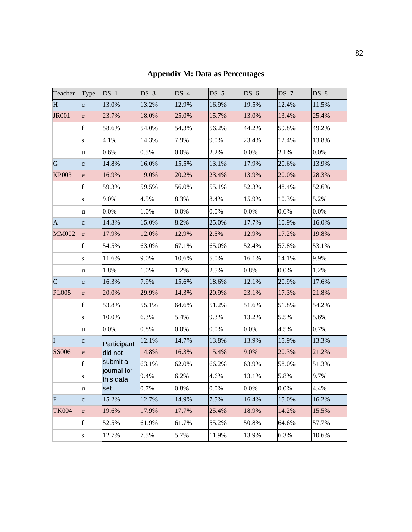| Teacher        | Type            | $DS_1$                                          | $DS_3$ | $DS_4$ | DS <sub>5</sub> | DS 6    | $DS_7$  | $DS_8$ |
|----------------|-----------------|-------------------------------------------------|--------|--------|-----------------|---------|---------|--------|
| H              | c               | 13.0%                                           | 13.2%  | 12.9%  | 16.9%           | 19.5%   | 12.4%   | 11.5%  |
| <b>JR001</b>   | <sub>l</sub> e  | 23.7%                                           | 18.0%  | 25.0%  | 15.7%           | 13.0%   | 13.4%   | 25.4%  |
|                | $\vert f \vert$ | 58.6%                                           | 54.0%  | 54.3%  | 56.2%           | 44.2%   | 59.8%   | 49.2%  |
|                | S               | 4.1%                                            | 14.3%  | 7.9%   | 9.0%            | 23.4%   | 12.4%   | 13.8%  |
|                | u               | 0.6%                                            | 0.5%   | 0.0%   | 2.2%            | 0.0%    | 2.1%    | 0.0%   |
| G              | c               | 14.8%                                           | 16.0%  | 15.5%  | 13.1%           | 17.9%   | 20.6%   | 13.9%  |
| <b>KP003</b>   | e               | 16.9%                                           | 19.0%  | 20.2%  | 23.4%           | 13.9%   | 20.0%   | 28.3%  |
|                | $\vert f \vert$ | 59.3%                                           | 59.5%  | 56.0%  | 55.1%           | 52.3%   | 48.4%   | 52.6%  |
|                | S               | 9.0%                                            | 4.5%   | 8.3%   | 8.4%            | 15.9%   | 10.3%   | 5.2%   |
|                | u               | 0.0%                                            | 1.0%   | 0.0%   | 0.0%            | 0.0%    | 0.6%    | 0.0%   |
| $\vert$ A      | c               | 14.3%                                           | 15.0%  | 8.2%   | 25.0%           | 17.7%   | 10.9%   | 16.0%  |
| <b>MM002</b>   | e               | 17.9%                                           | 12.0%  | 12.9%  | 2.5%            | 12.9%   | 17.2%   | 19.8%  |
|                | f               | 54.5%                                           | 63.0%  | 67.1%  | 65.0%           | 52.4%   | 57.8%   | 53.1%  |
|                | S               | 11.6%                                           | 9.0%   | 10.6%  | 5.0%            | 16.1%   | 14.1%   | 9.9%   |
|                | u               | 1.8%                                            | 1.0%   | 1.2%   | 2.5%            | 0.8%    | 0.0%    | 1.2%   |
| $\overline{C}$ | c               | 16.3%                                           | 7.9%   | 15.6%  | 18.6%           | 12.1%   | 20.9%   | 17.6%  |
| <b>PL005</b>   | <sub>l</sub> e  | 20.0%                                           | 29.9%  | 14.3%  | 20.9%           | 23.1%   | 17.3%   | 21.8%  |
|                | $\vert f \vert$ | 53.8%                                           | 55.1%  | 64.6%  | 51.2%           | 51.6%   | 51.8%   | 54.2%  |
|                | S               | 10.0%                                           | 6.3%   | 5.4%   | 9.3%            | 13.2%   | 5.5%    | 5.6%   |
|                | u               | 0.0%                                            | 0.8%   | 0.0%   | 0.0%            | 0.0%    | 4.5%    | 0.7%   |
| I              | c               | Participant                                     | 12.1%  | 14.7%  | 13.8%           | 13.9%   | 15.9%   | 13.3%  |
| <b>SS006</b>   | e               | did not<br>submit a<br>journal for<br>this data | 14.8%  | 16.3%  | 15.4%           | 9.0%    | 20.3%   | 21.2%  |
|                | $\vert f \vert$ |                                                 | 63.1%  | 62.0%  | 66.2%           | 63.9%   | 58.0%   | 51.3%  |
|                | S               |                                                 | 9.4%   | 6.2%   | 4.6%            | 13.1%   | 5.8%    | 9.7%   |
| u              |                 | set                                             | 0.7%   | 0.8%   | $0.0\%$         | $0.0\%$ | $0.0\%$ | 4.4%   |
| $\mathbf F$    | c               | 15.2%                                           | 12.7%  | 14.9%  | 7.5%            | 16.4%   | 15.0%   | 16.2%  |
| <b>TK004</b>   | e               | 19.6%                                           | 17.9%  | 17.7%  | 25.4%           | 18.9%   | 14.2%   | 15.5%  |
|                | $\mathbf{f}$    | 52.5%                                           | 61.9%  | 61.7%  | 55.2%           | 50.8%   | 64.6%   | 57.7%  |
|                | S               | 12.7%                                           | 7.5%   | 5.7%   | 11.9%           | 13.9%   | 6.3%    | 10.6%  |

# **Appendix M: Data as Percentages**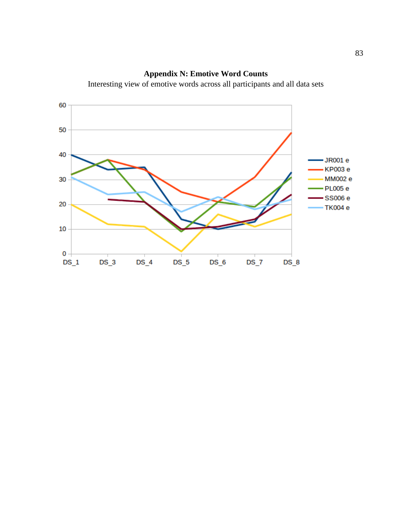